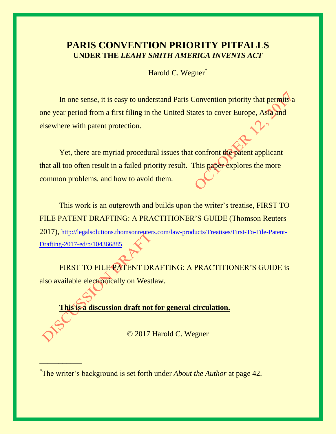# **PARIS CONVENTION PRIORITY PITFALLS UNDER THE** *LEAHY SMITH AMERICA INVENTS ACT*

Harold C. Wegner<sup>\*</sup>

In one sense, it is easy to understand Paris Convention priority that permits a one year period from a first filing in the United States to cover Europe, Asia and elsewhere with patent protection.

Yet, there are myriad procedural issues that confront the patent applicant that all too often result in a failed priority result. This paper explores the more common problems, and how to avoid them.

This work is an outgrowth and builds upon the writer's treatise, FIRST TO FILE PATENT DRAFTING: A PRACTITIONER'S GUIDE (Thomson Reuters 2017), [http://legalsolutions.thomsonreuters.com/law-products/Treatises/First-To-File-Patent-](http://legalsolutions.thomsonreuters.com/law-products/Treatises/First-To-File-Patent-Drafting-2017-ed/p/104366885)[Drafting-2017-ed/p/104366885.](http://legalsolutions.thomsonreuters.com/law-products/Treatises/First-To-File-Patent-Drafting-2017-ed/p/104366885)

FIRST TO FILE PATENT DRAFTING: A PRACTITIONER'S GUIDE is also available electronically on Westlaw.

**This is a discussion draft not for general circulation.**

© 2017 Harold C. Wegner

\_\_\_\_\_\_\_\_\_\_\_

<sup>\*</sup> The writer's background is set forth under *About the Author* at page 42.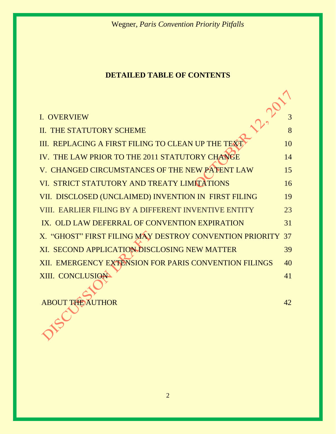# **DETAILED TABLE OF CONTENTS**

| I. OVERVIEW                                                |    |
|------------------------------------------------------------|----|
| <b>II. THE STATUTORY SCHEME</b>                            | 8  |
| III. REPLACING A FIRST FILING TO CLEAN UP THE TEXT         | 10 |
| IV. THE LAW PRIOR TO THE 2011 STATUTORY CHANGE             | 14 |
| V. CHANGED CIRCUMSTANCES OF THE NEW PATENT LAW             | 15 |
| VI. STRICT STATUTORY AND TREATY LIMITATIONS                | 16 |
| VII. DISCLOSED (UNCLAIMED) INVENTION IN FIRST FILING       | 19 |
| VIII. EARLIER FILING BY A DIFFERENT INVENTIVE ENTITY       | 23 |
| IX. OLD LAW DEFERRAL OF CONVENTION EXPIRATION              | 31 |
| X. "GHOST" FIRST FILING MAY DESTROY CONVENTION PRIORITY 37 |    |
| XI. SECOND APPLICATION DISCLOSING NEW MATTER               | 39 |
| XII. EMERGENCY EXTENSION FOR PARIS CONVENTION FILINGS      | 40 |
| XIII. CONCLUSION                                           | 41 |

ABOUT THE AUTHOR 42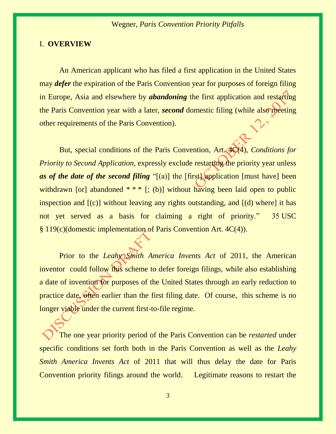#### I. **OVERVIEW**

An American applicant who has filed a first application in the United States may *defer* the expiration of the Paris Convention year for purposes of foreign filing in Europe, Asia and elsewhere by *abandoning* the first application and restarting the Paris Convention year with a later, *second* domestic filing (while also meeting other requirements of the Paris Convention).

But, special conditions of the Paris Convention, Art. 4C(4), *Conditions for Priority to Second Application, expressly exclude restarting the priority year unless as of the date of the second filing* "[(a)] the [first] application [must have] been withdrawn [or] abandoned  $**$  [; (b)] without having been laid open to public inspection and [(c)] without leaving any rights outstanding, and [(d) where] it has not yet served as a basis for claiming a right of priority." 35 USC § 119(c)(domestic implementation of Paris Convention Art. 4C(4)).

Prior to the *Leahy Smith America Invents Act* of 2011, the American inventor could follow this scheme to defer foreign filings, while also establishing a date of invention for purposes of the United States through an early reduction to practice date, often earlier than the first filing date. Of course, this scheme is no longer viable under the current first-to-file regime.

The one year priority period of the Paris Convention can be *restarted* under specific conditions set forth both in the Paris Convention as well as the *Leahy Smith America Invents Act* of 2011 that will thus delay the date for Paris Convention priority filings around the world. Legitimate reasons to restart the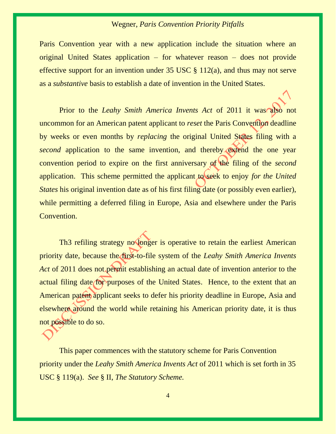Paris Convention year with a new application include the situation where an original United States application – for whatever reason – does not provide effective support for an invention under  $35 \text{ USC} \text{ } \text{\&} 112(a)$ , and thus may not serve as a *substantive* basis to establish a date of invention in the United States.

Prior to the *Leahy Smith America Invents Act* of 2011 it was also not uncommon for an American patent applicant to *reset* the Paris Convention deadline by weeks or even months by *replacing* the original United States filing with a *second* application to the same invention, and thereby extend the one year convention period to expire on the first anniversary of the filing of the *second*  application. This scheme permitted the applicant to seek to enjoy *for the United States* his original invention date as of his first filing date (or possibly even earlier), while permitting a deferred filing in Europe, Asia and elsewhere under the Paris Convention.

Th3 refiling strategy no longer is operative to retain the earliest American priority date, because the first-to-file system of the *Leahy Smith America Invents Act* of 2011 does not permit establishing an actual date of invention anterior to the actual filing date for purposes of the United States. Hence, to the extent that an American patent applicant seeks to defer his priority deadline in Europe, Asia and elsewhere around the world while retaining his American priority date, it is thus not possible to do so.

This paper commences with the statutory scheme for Paris Convention priority under the *Leahy Smith America Invents Act* of 2011 which is set forth in 35 USC § 119(a). *See* § II, *The Statutory Scheme.*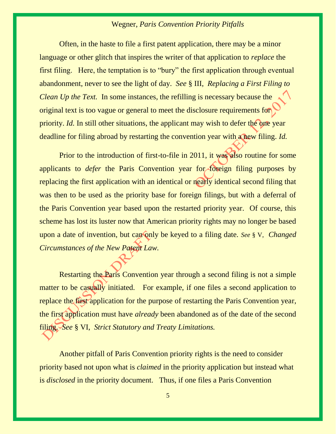Often, in the haste to file a first patent application, there may be a minor language or other glitch that inspires the writer of that application to *replace* the first filing. Here, the temptation is to "bury" the first application through eventual abandonment, never to see the light of day. *See* § III,*Replacing a First Filing to Clean Up the Text.* In some instances, the refilling is necessary because the original text is too vague or general to meet the disclosure requirements for priority. *Id.* In still other situations, the applicant may wish to defer the one year deadline for filing abroad by restarting the convention year with a new filing. *Id.*

Prior to the introduction of first-to-file in 2011, it was also routine for some applicants to *defer* the Paris Convention year for foreign filing purposes by replacing the first application with an identical or nearly identical second filing that was then to be used as the priority base for foreign filings, but with a deferral of the Paris Convention year based upon the restarted priority year. Of course, this scheme has lost its luster now that American priority rights may no longer be based upon a date of invention, but can only be keyed to a filing date. *See* § V,*Changed Circumstances of the New Patent Law.*

Restarting the Paris Convention year through a second filing is not a simple matter to be casually initiated. For example, if one files a second application to replace the first application for the purpose of restarting the Paris Convention year, the first application must have *already* been abandoned as of the date of the second filing. *See* § VI,*Strict Statutory and Treaty Limitations.*

Another pitfall of Paris Convention priority rights is the need to consider priority based not upon what is *claimed* in the priority application but instead what is *disclosed* in the priority document. Thus, if one files a Paris Convention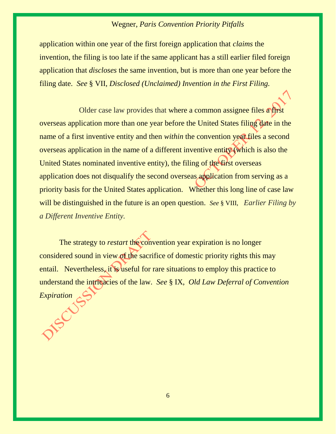application within one year of the first foreign application that *claims* the invention, the filing is too late if the same applicant has a still earlier filed foreign application that *discloses* the same invention, but is more than one year before the filing date. *See* § VII, *Disclosed (Unclaimed) Invention in the First Filing.*

Older case law provides that where a common assignee files a first overseas application more than one year before the United States filing date in the name of a first inventive entity and then *within* the convention year files a second overseas application in the name of a different inventive entity (which is also the United States nominated inventive entity), the filing of the first overseas application does not disqualify the second overseas application from serving as a priority basis for the United States application. Whether this long line of case law will be distinguished in the future is an open question. *See* § VIII, *Earlier Filing by a Different Inventive Entity.*

The strategy to *restart* the convention year expiration is no longer considered sound in view of the sacrifice of domestic priority rights this may entail. Nevertheless, it is useful for rare situations to employ this practice to understand the intricacies of the law. *See* § IX, *Old Law Deferral of Convention Expiration*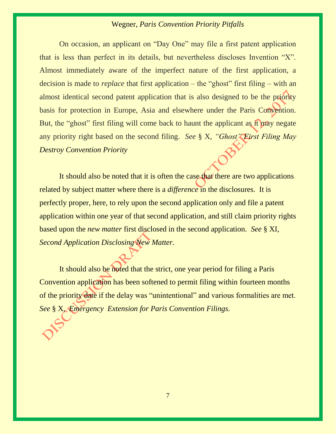On occasion, an applicant on "Day One" may file a first patent application that is less than perfect in its details, but nevertheless discloses Invention "X". Almost immediately aware of the imperfect nature of the first application, a decision is made to *replace* that first application – the "ghost" first filing – with an almost identical second patent application that is also designed to be the priority basis for protection in Europe, Asia and elsewhere under the Paris Convention. But, the "ghost" first filing will come back to haunt the applicant as it may negate any priority right based on the second filing. *See* § X, *"Ghost" First Filing May Destroy Convention Priority*

It should also be noted that it is often the case that there are two applications related by subject matter where there is a *difference* in the disclosures. It is perfectly proper, here, to rely upon the second application only and file a patent application within one year of that second application, and still claim priority rights based upon the *new matter* first disclosed in the second application. *See* § XI, *Second Application Disclosing New Matter.*

It should also be noted that the strict, one year period for filing a Paris Convention application has been softened to permit filing within fourteen months of the priority date if the delay was "unintentional" and various formalities are met. *See* § X, *Emergency Extension for Paris Convention Filings.*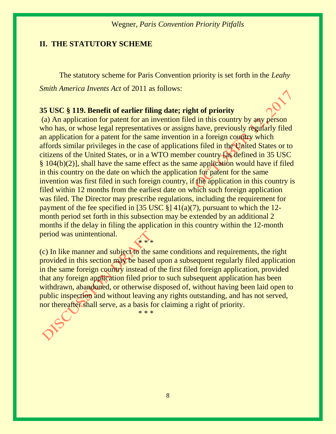#### **II. THE STATUTORY SCHEME**

The statutory scheme for Paris Convention priority is set forth in the *Leahy Smith America Invents Act* of 2011 as follows:

#### **35 USC § 119. Benefit of earlier filing date; right of priority**

(a) An application for patent for an invention filed in this country by any person who has, or whose legal representatives or assigns have, previously regularly filed an application for a patent for the same invention in a foreign country which affords similar privileges in the case of applications filed in the United States or to citizens of the United States, or in a WTO member country [as defined in 35 USC § 104(b)(2)], shall have the same effect as the same application would have if filed in this country on the date on which the application for patent for the same invention was first filed in such foreign country, if the application in this country is filed within 12 months from the earliest date on which such foreign application was filed. The Director may prescribe regulations, including the requirement for payment of the fee specified in [35 USC  $\S$ ] 41(a)(7), pursuant to which the 12month period set forth in this subsection may be extended by an additional 2 months if the delay in filing the application in this country within the 12-month period was unintentional. \* \* \*

(c) In like manner and subject to the same conditions and requirements, the right provided in this section may be based upon a subsequent regularly filed application in the same foreign country instead of the first filed foreign application, provided that any foreign application filed prior to such subsequent application has been withdrawn, abandoned, or otherwise disposed of, without having been laid open to public inspection and without leaving any rights outstanding, and has not served, nor thereafter shall serve, as a basis for claiming a right of priority.

\* \* \*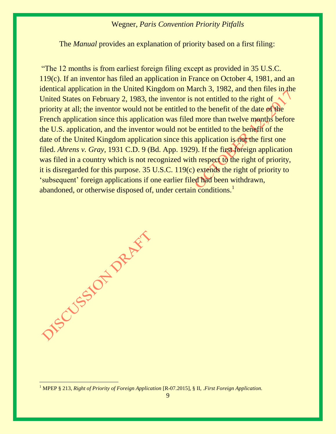The *Manual* provides an explanation of priority based on a first filing:

"The 12 months is from earliest foreign filing except as provided in [35 U.S.C.](https://www.uspto.gov/web/offices/pac/mpep/mpep-9015-appx-l.html#d0e302943)  [119\(c\).](https://www.uspto.gov/web/offices/pac/mpep/mpep-9015-appx-l.html#d0e302943) If an inventor has filed an application in France on October 4, 1981, and an identical application in the United Kingdom on March 3, 1982, and then files in the United States on February 2, 1983, the inventor is not entitled to the right of priority at all; the inventor would not be entitled to the benefit of the date of the French application since this application was filed more than twelve months before the U.S. application, and the inventor would not be entitled to the benefit of the date of the United Kingdom application since this application is not the first one filed. *Ahrens v. Gray,* 1931 C.D. 9 (Bd. App. 1929). If the first foreign application was filed in a country which is not recognized with respect to the right of priority, it is disregarded for this purpose. [35 U.S.C. 119\(c\)](https://www.uspto.gov/web/offices/pac/mpep/mpep-9015-appx-l.html#d0e302943) extends the right of priority to 'subsequent' foreign applications if one earlier filed had been withdrawn, abandoned, or otherwise disposed of, under certain conditions.<sup>1</sup>



DIS CUSSION PARTY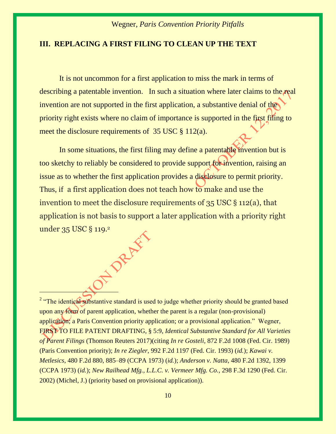#### **III. REPLACING A FIRST FILING TO CLEAN UP THE TEXT**

It is not uncommon for a first application to miss the mark in terms of describing a patentable invention. In such a situation where later claims to the real invention are not supported in the first application, a substantive denial of the priority right exists where no claim of importance is supported in the first filing to meet the disclosure requirements of 35 USC § 112(a).

In some situations, the first filing may define a patentable invention but is too sketchy to reliably be considered to provide support for invention, raising an issue as to whether the first application provides a disclosure to permit priority. Thus, if a first application does not teach how to make and use the invention to meet the disclosure requirements of 35 USC § 112(a), that application is not basis to support a later application with a priority right under 35 USC § 119.<sup>2</sup>

<sup>2</sup> "The identical substantive standard is used to judge whether priority should be granted based upon any form of parent application, whether the parent is a regular (non-provisional) application; a Paris Convention priority application; or a provisional application." Wegner, FIRST TO FILE PATENT DRAFTING, § 5:9, *Identical Substantive Standard for All Varieties of Parent Filings* (Thomson Reuters 2017)(citing *In re Gosteli*[, 872 F.2d 1008 \(Fed. Cir. 1989\)](https://1.next.westlaw.com/Link/Document/FullText?findType=Y&serNum=1989059621&pubNum=0000350&originatingDoc=I9e5404d0578611e7b038a050c700cc3a&refType=RP&originationContext=document&transitionType=DocumentItem&contextData=(sc.Search)) (Paris Convention priority); *In re Ziegler*[, 992 F.2d 1197 \(Fed. Cir. 1993\)](https://1.next.westlaw.com/Link/Document/FullText?findType=Y&serNum=1993089517&pubNum=0000350&originatingDoc=I9e5404d0578611e7b038a050c700cc3a&refType=RP&originationContext=document&transitionType=DocumentItem&contextData=(sc.Search)) (*id.*); *[Kawai v.](https://1.next.westlaw.com/Link/Document/FullText?findType=Y&serNum=1973110513&pubNum=0000350&originatingDoc=I9e5404d0578611e7b038a050c700cc3a&refType=RP&fi=co_pp_sp_350_885&originationContext=document&transitionType=DocumentItem&contextData=(sc.Search)#co_pp_sp_350_885)  Metlesics*[, 480 F.2d 880, 885](https://1.next.westlaw.com/Link/Document/FullText?findType=Y&serNum=1973110513&pubNum=0000350&originatingDoc=I9e5404d0578611e7b038a050c700cc3a&refType=RP&fi=co_pp_sp_350_885&originationContext=document&transitionType=DocumentItem&contextData=(sc.Search)#co_pp_sp_350_885)–89 (CCPA 1973) (*id.*); *Anderson v. Natta*[, 480 F.2d 1392, 1399](https://1.next.westlaw.com/Link/Document/FullText?findType=Y&serNum=1973110636&pubNum=0000350&originatingDoc=I9e5404d0578611e7b038a050c700cc3a&refType=RP&fi=co_pp_sp_350_1399&originationContext=document&transitionType=DocumentItem&contextData=(sc.Search)#co_pp_sp_350_1399)  [\(CCPA 1973\)](https://1.next.westlaw.com/Link/Document/FullText?findType=Y&serNum=1973110636&pubNum=0000350&originatingDoc=I9e5404d0578611e7b038a050c700cc3a&refType=RP&fi=co_pp_sp_350_1399&originationContext=document&transitionType=DocumentItem&contextData=(sc.Search)#co_pp_sp_350_1399) (*id.*); *New Railhead [Mfg., L.L.C. v. Vermeer Mfg. Co.](https://1.next.westlaw.com/Link/Document/FullText?findType=Y&serNum=2002475581&pubNum=0000506&originatingDoc=I9e5404d0578611e7b038a050c700cc3a&refType=RP&originationContext=document&transitionType=DocumentItem&contextData=(sc.Search))*, 298 F.3d 1290 (Fed. Cir. [2002\)](https://1.next.westlaw.com/Link/Document/FullText?findType=Y&serNum=2002475581&pubNum=0000506&originatingDoc=I9e5404d0578611e7b038a050c700cc3a&refType=RP&originationContext=document&transitionType=DocumentItem&contextData=(sc.Search)) (Michel, J.) (priority based on provisional application)).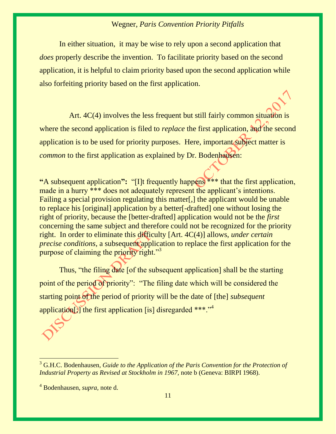In either situation, it may be wise to rely upon a second application that *does* properly describe the invention. To facilitate priority based on the second application, it is helpful to claim priority based upon the second application while also forfeiting priority based on the first application.

Art. 4C(4) involves the less frequent but still fairly common situation is where the second application is filed to *replace* the first application, and the second application is to be used for priority purposes. Here, important subject matter is *common* to the first application as explained by Dr. Bodenhausen:

**"**A subsequent application**":** "[I]t frequently happens \*\*\* that the first application, made in a hurry \*\*\* does not adequately represent the applicant's intentions. Failing a special provision regulating this matter[,] the applicant would be unable to replace his [original] application by a better[-drafted] one without losing the right of priority, because the [better-drafted] application would not be the *first* concerning the same subject and therefore could not be recognized for the priority right. In order to eliminate this difficulty [Art. 4C(4)] allows, *under certain precise conditions, a subsequent application to replace the first application for the* purpose of claiming the priority right."<sup>3</sup>

Thus, "the filing date [of the subsequent application] shall be the starting point of the period of priority": "The filing date which will be considered the starting point of the period of priority will be the date of [the] *subsequent* application[)] the first application [is] disregarded  $***$ .<sup>14</sup>

<sup>&</sup>lt;sup>3</sup> G.H.C. Bodenhausen, *Guide to the Application of the Paris Convention for the Protection of Industrial Property as Revised at Stockholm in 1967*, note b (Geneva: BIRPI 1968).

<sup>4</sup> Bodenhausen, *supra,* note d.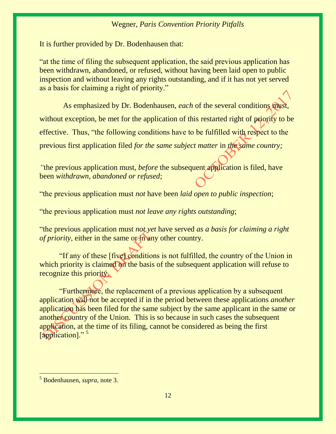It is further provided by Dr. Bodenhausen that:

"at the time of filing the subsequent application, the said previous application has been withdrawn, abandoned, or refused, without having been laid open to public inspection and without leaving any rights outstanding, and if it has not yet served as a basis for claiming a right of priority."

 As emphasized by Dr. Bodenhausen, *each* of the several conditions must, without exception, be met for the application of this restarted right of priority to be effective. Thus, "the following conditions have to be fulfilled with respect to the previous first application filed *for the same subject matter* in *the same country;*

*"*the previous application must, *before* the subsequent application is filed, have been *withdrawn, abandoned or refused*;

"the previous application must *not* have been *laid open to public inspection*;

"the previous application must *not leave any rights outstanding*;

"the previous application must *not yet* have served *as a basis for claiming a right of priority*, either in the same or in any other country.

"If any of these [five] conditions is not fulfilled, the country of the Union in which priority is claimed on the basis of the subsequent application will refuse to recognize this priority.

"Furthermore, the replacement of a previous application by a subsequent application will not be accepted if in the period between these applications *another* application has been filed for the same subject by the same applicant in the same or another country of the Union. This is so because in such cases the subsequent application, at the time of its filing, cannot be considered as being the first [application]."<sup>5</sup>

<sup>5</sup> Bodenhausen, *supra,* note 3.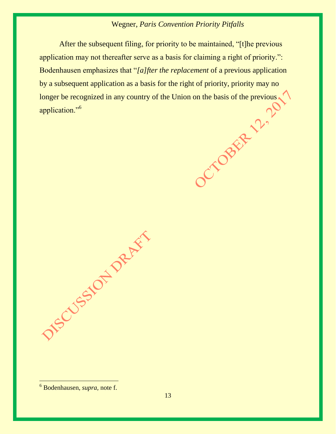After the subsequent filing, for priority to be maintained, "[t]he previous application may not thereafter serve as a basis for claiming a right of priority.": Bodenhausen emphasizes that "*[a]fter the replacement* of a previous application by a subsequent application as a basis for the right of priority, priority may no longer be recognized in any country of the Union on the basis of the previous application."<sup>6</sup> longer be recognized in any country of the Union on the basis of the previous application."<sup>6</sup>

DIS CUSSION DRUGS

<sup>6</sup> Bodenhausen, *supra,* note f.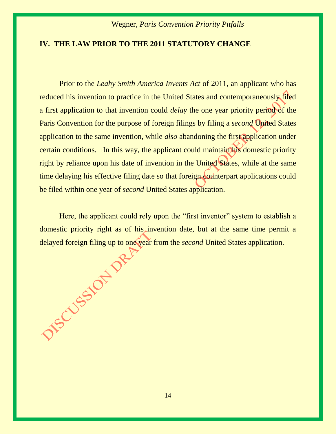## **IV. THE LAW PRIOR TO THE 2011 STATUTORY CHANGE**

Prior to the *Leahy Smith America Invents Act* of 2011, an applicant who has reduced his invention to practice in the United States and contemporaneously filed a first application to that invention could *delay* the one year priority period of the Paris Convention for the purpose of foreign filings by filing a *second* United States application to the same invention, while *also* abandoning the first application under certain conditions. In this way, the applicant could maintain his domestic priority right by reliance upon his date of invention in the United States, while at the same time delaying his effective filing date so that foreign counterpart applications could be filed within one year of *second* United States application.

Here, the applicant could rely upon the "first inventor" system to establish a domestic priority right as of his invention date, but at the same time permit a delayed foreign filing up to one year from the *second* United States application.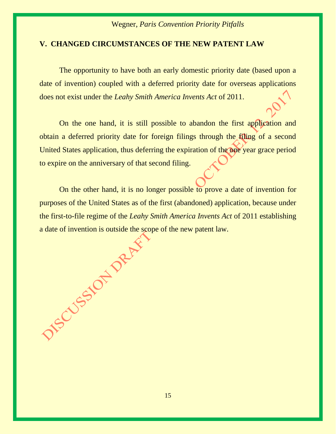## **V. CHANGED CIRCUMSTANCES OF THE NEW PATENT LAW**

The opportunity to have both an early domestic priority date (based upon a date of invention) coupled with a deferred priority date for overseas applications does not exist under the *Leahy Smith America Invents Act* of 2011.

On the one hand, it is still possible to abandon the first application and obtain a deferred priority date for foreign filings through the filing of a second United States application, thus deferring the expiration of the one year grace period to expire on the anniversary of that second filing.

On the other hand, it is no longer possible to prove a date of invention for purposes of the United States as of the first (abandoned) application, because under the first-to-file regime of the *Leahy Smith America Invents Act* of 2011 establishing a date of invention is outside the scope of the new patent law.

15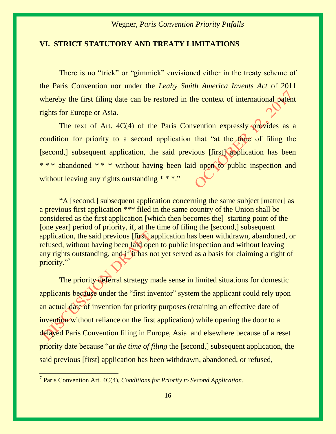#### **VI. STRICT STATUTORY AND TREATY LIMITATIONS**

There is no "trick" or "gimmick" envisioned either in the treaty scheme of the Paris Convention nor under the *Leahy Smith America Invents Act* of 2011 whereby the first filing date can be restored in the context of international patent rights for Europe or Asia.

The text of Art.  $4C(4)$  of the Paris Convention expressly provides as a condition for priority to a second application that "at the time of filing the [second,] subsequent application, the said previous [first] application has been \* \* \* abandoned \* \* \* without having been laid open to public inspection and without leaving any rights outstanding \* \* \*."

"A [second,] subsequent application concerning the same subject [matter] as a previous first application \*\*\* filed in the same country of the Union shall be considered as the first application [which then becomes the] starting point of the [one year] period of priority, if, at the time of filing the [second,] subsequent application, the said previous [first] application has been withdrawn, abandoned, or refused, without having been laid open to public inspection and without leaving any rights outstanding, and if it has not yet served as a basis for claiming a right of priority."7

The priority deferral strategy made sense in limited situations for domestic applicants because under the "first inventor" system the applicant could rely upon an actual date of invention for priority purposes (retaining an effective date of invention without reliance on the first application) while opening the door to a delayed Paris Convention filing in Europe, Asia and elsewhere because of a reset priority date because "*at the time of filing* the [second,] subsequent application, the said previous [first] application has been withdrawn, abandoned, or refused,

 7 Paris Convention Art. 4C(4), *Conditions for Priority to Second Application.*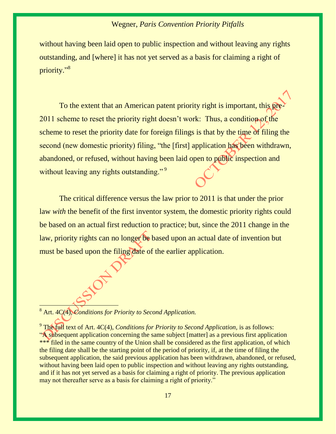without having been laid open to public inspection and without leaving any rights outstanding, and [where] it has not yet served as a basis for claiming a right of priority."<sup>8</sup>

To the extent that an American patent priority right is important, this pre-2011 scheme to reset the priority right doesn't work: Thus, a condition of the scheme to reset the priority date for foreign filings is that by the time of filing the second (new domestic priority) filing, "the [first] application has been withdrawn, abandoned, or refused, without having been laid open to public inspection and without leaving any rights outstanding."<sup>9</sup>

The critical difference versus the law prior to 2011 is that under the prior law *with* the benefit of the first inventor system, the domestic priority rights could be based on an actual first reduction to practice; but, since the 2011 change in the law, priority rights can no longer be based upon an actual date of invention but must be based upon the filing date of the earlier application.

<sup>8</sup> Art. 4C(4), *Conditions for Priority to Second Application.*

<sup>9</sup> The full text of Art. 4C(4), *Conditions for Priority to Second Application*, is as follows: "A subsequent application concerning the same subject [matter] as a previous first application \*\*\* filed in the same country of the Union shall be considered as the first application, of which the filing date shall be the starting point of the period of priority, if, at the time of filing the subsequent application, the said previous application has been withdrawn, abandoned, or refused, without having been laid open to public inspection and without leaving any rights outstanding, and if it has not yet served as a basis for claiming a right of priority. The previous application may not thereafter serve as a basis for claiming a right of priority."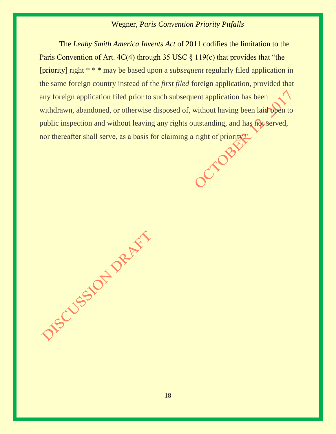The *Leahy Smith America Invents Act* of 2011 codifies the limitation to the Paris Convention of Art.  $4C(4)$  through 35 USC § 119(c) that provides that "the [priority] right \* \* \* may be based upon a *subsequent* regularly filed application in the same foreign country instead of the *first filed* foreign application, provided that any foreign application filed prior to such subsequent application has been withdrawn, abandoned, or otherwise disposed of, without having been laid open to public inspection and without leaving any rights outstanding, and has not served, nor thereafter shall serve, as a basis for claiming a right of priority."

DESCRIPTION DRUM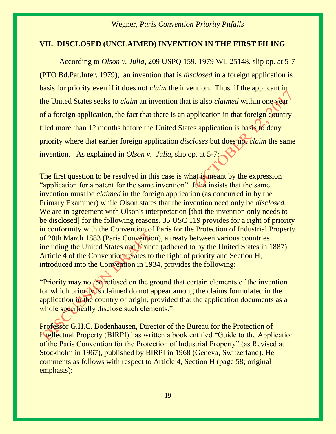#### **VII. DISCLOSED (UNCLAIMED) INVENTION IN THE FIRST FILING**

According to *Olson v. Julia*, 209 USPQ 159, 1979 WL 25148, slip op. at 5-7 (PTO Bd.Pat.Inter. 1979), an invention that is *disclosed* in a foreign application is basis for priority even if it does not *claim* the invention. Thus, if the applicant in the United States seeks to *claim* an invention that is also *claimed* within one year of a foreign application, the fact that there is an application in that foreign country filed more than 12 months before the United States application is basis to deny priority where that earlier foreign application *discloses* but does not *claim* the same invention. As explained in *Olson v. Julia,* slip op. at 5-7:

The first question to be resolved in this case is what is meant by the expression "application for a patent for the same invention". Julia insists that the same invention must be *claimed* in the foreign application (as concurred in by the Primary Examiner) while Olson states that the invention need only be *disclosed.* We are in agreement with Olson's interpretation [that the invention only needs to be disclosed] for the following reasons. [35 USC 119](https://1.next.westlaw.com/Link/Document/FullText?findType=L&pubNum=1000546&cite=35USCAS119&originatingDoc=I3660f3e6d32011dc8dba9deb08599717&refType=LQ&originationContext=document&transitionType=DocumentItem&contextData=(sc.DocLink)) provides for a right of priority in conformity with the Convention of Paris for the Protection of Industrial Property of 20th March 1883 (Paris Convention), a treaty between various countries including the United States and France (adhered to by the United States in 1887). Article 4 of the Convention relates to the right of priority and Section H, introduced into the Convention in 1934, provides the following:

"Priority may not be refused on the ground that certain elements of the invention for which priority is claimed do not appear among the claims formulated in the application in the country of origin, provided that the application documents as a whole specifically disclose such elements."

Professor G.H.C. Bodenhausen, Director of the Bureau for the Protection of Intellectual Property (BIRPI) has written a book entitled "Guide to the Application of the Paris Convention for the Protection of Industrial Property" (as Revised at Stockholm in 1967), published by BIRPI in 1968 (Geneva, Switzerland). He comments as follows with respect to Article 4, Section H (page 58; original emphasis):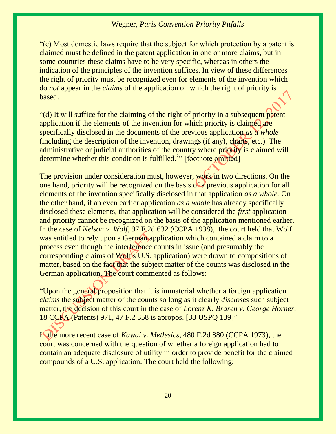"(c) Most domestic laws require that the subject for which protection by a patent is claimed must be defined in the patent application in one or more claims, but in some countries these claims have to be very specific, whereas in others the indication of the principles of the invention suffices. In view of these differences the right of priority must be recognized even for elements of the invention which do *not* appear in the *claims* of the application on which the right of priority is based.

"(d) It will suffice for the claiming of the right of priority in a subsequent patent application if the elements of the invention for which priority is claimed are specifically disclosed in the documents of the previous application *as a whole* (including the description of the invention, drawings (if any), charts, etc.). The administrative or judicial authorities of the country where priority is claimed will determine whether this condition is fulfilled.<sup>[2](https://1.next.westlaw.com/Link/Document/FullText?findType=Y&serNum=1979020826&pubNum=867&originatingDoc=I6ea9f7a29c4911dba10be1078cee05f1&refType=CA&originationContext=document&transitionType=DocumentItem&contextData=(sc.DocLink)#co_tablefootnoteblock_2)</sup>" [footnote omitted]

The provision under consideration must, however, work in two directions. On the one hand, priority will be recognized on the basis of a previous application for all elements of the invention specifically disclosed in that application *as a whole.* On the other hand, if an even earlier application *as a whole* has already specifically disclosed these elements, that application will be considered the *first* application and priority cannot be recognized on the basis of the application mentioned earlier. In the case of *Nelson v. Wolf*, 97 F.2d 632 (CCPA 1938), the court held that Wolf was entitled to rely upon a German application which contained a claim to a process even though the interference counts in issue (and presumably the corresponding claims of Wolf's U.S. application) were drawn to compositions of matter, based on the fact that the subject matter of the counts was disclosed in the German application. The court commented as follows:

"Upon the general proposition that it is immaterial whether a foreign application *claims* the subject matter of the counts so long as it clearly *discloses* such subject matter, the decision of this court in the case of *Lorenz K. Braren v. George Horner,* 18 CCPA (Patents) 971, 47 F.2 358 is apropos. [\[38 USPQ 139](https://1.next.westlaw.com/Link/Document/FullText?findType=Y&serNum=1938129832&pubNum=0000867&originatingDoc=I3660f3e6d32011dc8dba9deb08599717&refType=RP&originationContext=document&transitionType=DocumentItem&contextData=(sc.DocLink))]"

In the more recent case of *[Kawai v. Metlesics](https://1.next.westlaw.com/Link/Document/FullText?findType=Y&serNum=1973110513&pubNum=0000350&originatingDoc=I3660f3e6d32011dc8dba9deb08599717&refType=RP&originationContext=document&transitionType=DocumentItem&contextData=(sc.DocLink))*, 480 F.2d 880 (CCPA 1973), the court was concerned with the question of whether a foreign application had to contain an adequate disclosure of utility in order to provide benefit for the claimed compounds of a U.S. application. The court held the following: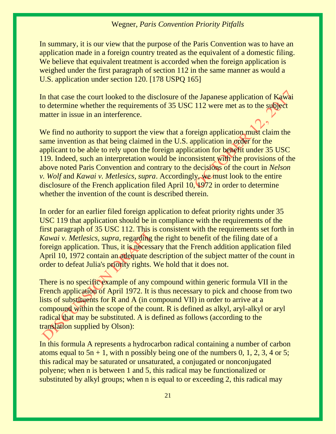In summary, it is our view that the purpose of the Paris Convention was to have an application made in a foreign country treated as the equivalent of a domestic filing. We believe that equivalent treatment is accorded when the foreign application is weighed under the first paragraph of section 112 in the same manner as would a U.S. application under section 120. [178 USPQ 165]

In that case the court looked to the disclosure of the Japanese application of Kawai to determine whether the requirements of 35 USC 112 were met as to the subject matter in issue in an interference.

We find no authority to support the view that a foreign application must claim the same invention as that being claimed in the U.S. application in order for the applicant to be able to rely upon the foreign application for benefit under [35 USC](https://1.next.westlaw.com/Link/Document/FullText?findType=L&pubNum=1000546&cite=35USCAS119&originatingDoc=I3660f3e6d32011dc8dba9deb08599717&refType=LQ&originationContext=document&transitionType=DocumentItem&contextData=(sc.DocLink))  [119.](https://1.next.westlaw.com/Link/Document/FullText?findType=L&pubNum=1000546&cite=35USCAS119&originatingDoc=I3660f3e6d32011dc8dba9deb08599717&refType=LQ&originationContext=document&transitionType=DocumentItem&contextData=(sc.DocLink)) Indeed, such an interpretation would be inconsistent with the provisions of the above noted Paris Convention and contrary to the decisions of the court in *Nelson v. Wolf* and *Kawai v. Metlesics, supra*. Accordingly, we must look to the entire disclosure of the French application filed April 10, 1972 in order to determine whether the invention of the count is described therein.

In order for an earlier filed foreign application to defeat priority rights under [35](https://1.next.westlaw.com/Link/Document/FullText?findType=L&pubNum=1000546&cite=35USCAS119&originatingDoc=I3660f3e6d32011dc8dba9deb08599717&refType=LQ&originationContext=document&transitionType=DocumentItem&contextData=(sc.DocLink))  [USC 119](https://1.next.westlaw.com/Link/Document/FullText?findType=L&pubNum=1000546&cite=35USCAS119&originatingDoc=I3660f3e6d32011dc8dba9deb08599717&refType=LQ&originationContext=document&transitionType=DocumentItem&contextData=(sc.DocLink)) that application should be in compliance with the requirements of the first paragraph of [35 USC 112.](https://1.next.westlaw.com/Link/Document/FullText?findType=L&pubNum=1000546&cite=35USCAS112&originatingDoc=I3660f3e6d32011dc8dba9deb08599717&refType=LQ&originationContext=document&transitionType=DocumentItem&contextData=(sc.DocLink)) This is consistent with the requirements set forth in *Kawai v. Metlesics, supra*, regarding the right to benefit of the filing date of a foreign application. Thus, it is necessary that the French addition application filed April 10, 1972 contain an adequate description of the subject matter of the count in order to defeat Julia's priority rights. We hold that it does not.

There is no specific example of any compound within generic formula VII in the French application of April 1972. It is thus necessary to pick and choose from two lists of substituents for R and A (in compound VII) in order to arrive at a compound within the scope of the count. R is defined as alkyl, aryl-alkyl or aryl radical that may be substituted. A is defined as follows (according to the translation supplied by Olson):

In this formula A represents a hydrocarbon radical containing a number of carbon atoms equal to  $5n + 1$ , with n possibly being one of the numbers 0, 1, 2, 3, 4 or 5; this radical may be saturated or unsaturated, a conjugated or nonconjugated polyene; when n is between 1 and 5, this radical may be functionalized or substituted by alkyl groups; when n is equal to or exceeding 2, this radical may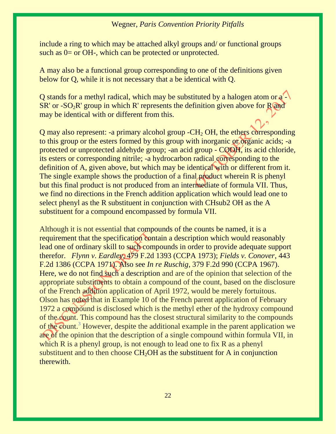include a ring to which may be attached alkyl groups and/ or functional groups such as 0= or OH-, which can be protected or unprotected.

A may also be a functional group corresponding to one of the definitions given below for Q, while it is not necessary that a be identical with Q.

Q stands for a methyl radical, which may be substituted by a halogen atom or a -  $SR'$  or  $-SO_2R'$  group in which R' represents the definition given above for R and may be identical with or different from this.

Q may also represent: -a primary alcohol group  $-CH<sub>2</sub>OH$ , the ethers corresponding to this group or the esters formed by this group with inorganic or organic acids; -a protected or unprotected aldehyde group; -an acid group - COOH, its acid chloride, its esters or corresponding nitrile; -a hydrocarbon radical corresponding to the definition of A, given above, but which may be identical with or different from it. The single example shows the production of a final product wherein R is phenyl but this final product is not produced from an intermediate of formula VII. Thus, we find no directions in the French addition application which would lead one to select phenyl as the R substituent in conjunction with CHsub2 OH as the A substituent for a compound encompassed by formula VII.

Although it is not essential that compounds of the counts be named, it is a requirement that the specification contain a description which would reasonably lead one of ordinary skill to such compounds in order to provide adequate support therefor. *Flynn v. Eardley*[, 479 F.2d 1393 \(CCPA 1973\);](https://1.next.westlaw.com/Link/Document/FullText?findType=Y&serNum=1973110335&pubNum=0000350&originatingDoc=I3660f3e6d32011dc8dba9deb08599717&refType=RP&originationContext=document&transitionType=DocumentItem&contextData=(sc.DocLink)) *[Fields v. Conover](https://1.next.westlaw.com/Link/Document/FullText?findType=Y&serNum=1971110838&pubNum=0000350&originatingDoc=I3660f3e6d32011dc8dba9deb08599717&refType=RP&originationContext=document&transitionType=DocumentItem&contextData=(sc.DocLink))*, 443 [F.2d 1386 \(CCPA 1971\).](https://1.next.westlaw.com/Link/Document/FullText?findType=Y&serNum=1971110838&pubNum=0000350&originatingDoc=I3660f3e6d32011dc8dba9deb08599717&refType=RP&originationContext=document&transitionType=DocumentItem&contextData=(sc.DocLink)) Also see *In re Ruschig*, 379 F.2d 990 (CCPA 1967). Here, we do not find such a description and are of the opinion that selection of the appropriate substituents to obtain a compound of the count, based on the disclosure of the French addition application of April 1972, would be merely fortuitous. Olson has noted that in Example 10 of the French parent application of February 1972 a compound is disclosed which is the methyl ether of the hydroxy compound of the count. This compound has the closest structural similarity to the compounds of the count.[3](https://1.next.westlaw.com/Link/Document/FullText?findType=Y&serNum=1979020826&pubNum=867&originatingDoc=I6ea9f7a29c4911dba10be1078cee05f1&refType=CA&originationContext=document&transitionType=DocumentItem&contextData=(sc.DocLink)#co_footnote_FN_F3) However, despite the additional example in the parent application we are of the opinion that the description of a single compound within formula VII, in which R is a phenyl group, is not enough to lead one to fix R as a phenyl substituent and to then choose  $CH<sub>2</sub>OH$  as the substituent for A in conjunction therewith.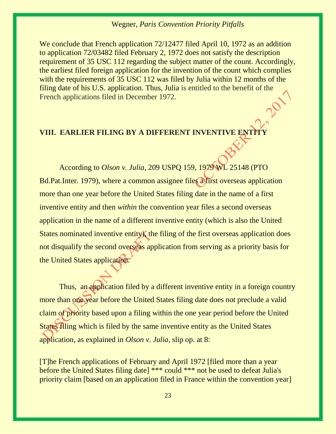We conclude that French application 72/12477 filed April 10, 1972 as an addition to application 72/03482 filed February 2, 1972 does not satisfy the description requirement of [35 USC 112](https://1.next.westlaw.com/Link/Document/FullText?findType=L&pubNum=1000546&cite=35USCAS112&originatingDoc=I3660f3e6d32011dc8dba9deb08599717&refType=LQ&originationContext=document&transitionType=DocumentItem&contextData=(sc.DocLink)) regarding the subject matter of the count. Accordingly, the earliest filed foreign application for the invention of the count which complies with the requirements of [35 USC 112](https://1.next.westlaw.com/Link/Document/FullText?findType=L&pubNum=1000546&cite=35USCAS112&originatingDoc=I3660f3e6d32011dc8dba9deb08599717&refType=LQ&originationContext=document&transitionType=DocumentItem&contextData=(sc.DocLink)) was filed by Julia within 12 months of the filing date of his U.S. application. Thus, Julia is entitled to the benefit of the French applications filed in December 1972.

# **VIII. EARLIER FILING BY A DIFFERENT INVENTIVE ENT**

According to *Olson v. Julia*, 209 USPQ 159, 1979 WL 25148 (PTO Bd.Pat.Inter. 1979), where a common assignee files a first overseas application more than one year before the United States filing date in the name of a first inventive entity and then *within* the convention year files a second overseas application in the name of a different inventive entity (which is also the United States nominated inventive entity), the filing of the first overseas application does not disqualify the second overseas application from serving as a priority basis for the United States application.

Thus, an application filed by a different inventive entity in a foreign country more than one year before the United States filing date does not preclude a valid claim of priority based upon a filing within the one year period before the United States filing which is filed by the same inventive entity as the United States application, as explained in *Olson v. Julia*, slip op. at 8:

[T]he French applications of February and April 1972 [filed more than a year before the United States filing date] \*\*\* could \*\*\* not be used to defeat Julia's priority claim [based on an application filed in France within the convention year]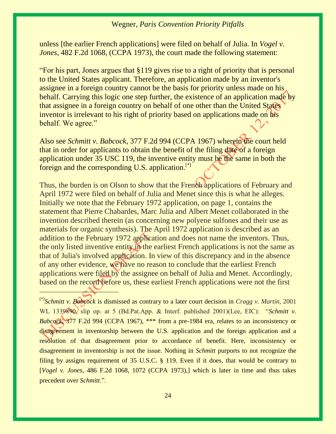unless [the earlier French applications] were filed on behalf of Julia. In *[Vogel v.](https://1.next.westlaw.com/Link/Document/FullText?findType=Y&serNum=1973112112&pubNum=0000867&originatingDoc=I3660f3e6d32011dc8dba9deb08599717&refType=RP&fi=co_pp_sp_867_428&originationContext=document&transitionType=DocumentItem&contextData=(sc.DocLink)#co_pp_sp_867_428)  Jones*[, 482 F.2d 1068, \(CCPA 1973\),](https://1.next.westlaw.com/Link/Document/FullText?findType=Y&serNum=1973112112&pubNum=0000867&originatingDoc=I3660f3e6d32011dc8dba9deb08599717&refType=RP&fi=co_pp_sp_867_428&originationContext=document&transitionType=DocumentItem&contextData=(sc.DocLink)#co_pp_sp_867_428) the court made the following statement:

"For his part, Jones argues that [§119](https://1.next.westlaw.com/Link/Document/FullText?findType=L&pubNum=1000546&cite=35USCAS119&originatingDoc=I3660f3e6d32011dc8dba9deb08599717&refType=LQ&originationContext=document&transitionType=DocumentItem&contextData=(sc.DocLink)) gives rise to a right of priority that is personal to the United States applicant. Therefore, an application made by an inventor's assignee in a foreign country cannot be the basis for priority unless made on his behalf. Carrying this logic one step further, the existence of an application made by that assignee in a foreign country on behalf of one other than the United States inventor is irrelevant to his right of priority based on applications made on his behalf. We agree."

Also see *Schmitt v. Babcock*, 377 F.2d 994 (CCPA 1967) wherein the court held that in order for applicants to obtain the benefit of the filing date of a foreign application under [35 USC 119,](https://1.next.westlaw.com/Link/Document/FullText?findType=L&pubNum=1000546&cite=35USCAS119&originatingDoc=I3660f3e6d32011dc8dba9deb08599717&refType=LQ&originationContext=document&transitionType=DocumentItem&contextData=(sc.DocLink)) the inventive entity must be the same in both the foreign and the corresponding U.S. application.<sup>[\*]</sup>

Thus, the burden is on Olson to show that the French applications of February and April 1972 were filed on behalf of Julia and Menet since this is what he alleges. Initially we note that the February 1972 application, on page 1, contains the statement that Pierre Chabardes, Marc Julia and Albert Menet collaborated in the invention described therein (as concerning new polyene sulfones and their use as materials for organic synthesis). The April 1972 application is described as an addition to the February 1972 application and does not name the inventors. Thus, the only listed inventive entity in the earliest French applications is not the same as that of Julia's involved application. In view of this discrepancy and in the absence of any other evidence, we have no reason to conclude that the earliest French applications were filed by the assignee on behalf of Julia and Menet. Accordingly, based on the record before us, these earliest French applications were not the first

<sup>[\*]</sup>*Schmitt v. Babcock* is dismissed as contrary to a later court decision in *Cragg v. Martin,* 2001 WL 1339890, slip op. at 5 (Bd.Pat.App. & Interf. published 2001)(Lee, EIC): "*Schmitt v. Babcock*, 377 F.2d 994 (CCPA 1967), \*\*\* from a pre-1984 era, relates to an inconsistency or disagreement in inventorship between the U.S. application and the foreign application and a resolution of that disagreement prior to accordance of benefit. Here, inconsistency or disagreement in inventorship is not the issue. Nothing in *Schmitt* purports to not recognize the filing by assigns requirement of [35 U.S.C. § 119.](https://1.next.westlaw.com/Link/Document/FullText?findType=L&pubNum=1000546&cite=35USCAS119&originatingDoc=I0dca817c9c5511db9127cf4cfcf88547&refType=LQ&originationContext=document&transitionType=DocumentItem&contextData=(sc.Search)) Even if it does, that would be contrary to [*Vogel v. Jones*, 486 F.2d 1068, 1072 (CCPA 1973),] which is later in time and thus takes precedent over *Schmitt*.".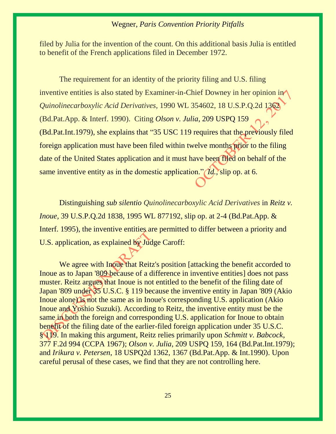filed by Julia for the invention of the count. On this additional basis Julia is entitled to benefit of the French applications filed in December 1972.

The requirement for an identity of the priority filing and U.S. filing inventive entities is also stated by Examiner-in-Chief Downey in her opinion in *Quinolinecarboxylic Acid Derivatives,* 1990 WL 354602, 18 U.S.P.Q.2d 1362 (Bd.Pat.App. & Interf. 1990). Citing *Olson v. Julia*[, 209 USPQ 159](https://1.next.westlaw.com/Link/Document/FullText?findType=Y&serNum=1979020826&pubNum=867&originatingDoc=I6ea7adb49c4911dba10be1078cee05f1&refType=CA&originationContext=document&transitionType=DocumentItem&contextData=(sc.Search))  [\(Bd.Pat.Int.1979\),](https://1.next.westlaw.com/Link/Document/FullText?findType=Y&serNum=1979020826&pubNum=867&originatingDoc=I6ea7adb49c4911dba10be1078cee05f1&refType=CA&originationContext=document&transitionType=DocumentItem&contextData=(sc.Search)) she explains that "[35 USC 119](https://1.next.westlaw.com/Link/Document/FullText?findType=L&pubNum=1000546&cite=35USCAS119&originatingDoc=I6ea7adb49c4911dba10be1078cee05f1&refType=LQ&originationContext=document&transitionType=DocumentItem&contextData=(sc.Search)) requires that the previously filed foreign application must have been filed within twelve months prior to the filing date of the United States application and it must have been filed on behalf of the same inventive entity as in the domestic application." *Id.,* slip op. at 6.

Distinguishing *sub silentio Quinolinecarboxylic Acid Derivatives* in *Reitz v. Inoue,* 39 U.S.P.Q.2d 1838, 1995 WL 877192, slip op. at 2-4 (Bd.Pat.App. & Interf. 1995), the inventive entities are permitted to differ between a priority and U.S. application, as explained by Judge Caroff:

We agree with Inoue that Reitz's position [attacking the benefit accorded to Inoue as to Japan '809 because of a difference in inventive entities] does not pass muster. Reitz argues that Inoue is not entitled to the benefit of the filing date of Japan '809 under [35 U.S.C. §](https://1.next.westlaw.com/Link/Document/FullText?findType=L&pubNum=1000546&cite=35USCAS119&originatingDoc=I6ea7fbe89c4911dba10be1078cee05f1&refType=LQ&originationContext=document&transitionType=DocumentItem&contextData=(sc.Search)) 119 because the inventive entity in Japan '809 (Akio Inoue alone) is not the same as in Inoue's corresponding U.S. application (Akio Inoue and Yoshio Suzuki). According to Reitz, the inventive entity must be the same in both the foreign and corresponding U.S. application for Inoue to obtain benefit of the filing date of the earlier-filed foreign application under [35 U.S.C.](https://1.next.westlaw.com/Link/Document/FullText?findType=L&pubNum=1000546&cite=35USCAS119&originatingDoc=I6ea7fbe89c4911dba10be1078cee05f1&refType=LQ&originationContext=document&transitionType=DocumentItem&contextData=(sc.Search))  § [119.](https://1.next.westlaw.com/Link/Document/FullText?findType=L&pubNum=1000546&cite=35USCAS119&originatingDoc=I6ea7fbe89c4911dba10be1078cee05f1&refType=LQ&originationContext=document&transitionType=DocumentItem&contextData=(sc.Search)) In making this argument, Reitz relies primarily upon *[Schmitt v. Babcock](https://1.next.westlaw.com/Link/Document/FullText?findType=Y&serNum=1966104924&pubNum=0000350&originatingDoc=I6ea7fbe89c4911dba10be1078cee05f1&refType=RP&originationContext=document&transitionType=DocumentItem&contextData=(sc.Search))*, [377 F.2d 994 \(CCPA 1967\);](https://1.next.westlaw.com/Link/Document/FullText?findType=Y&serNum=1966104924&pubNum=0000350&originatingDoc=I6ea7fbe89c4911dba10be1078cee05f1&refType=RP&originationContext=document&transitionType=DocumentItem&contextData=(sc.Search)) *Olson v. Julia*[, 209 USPQ 159, 164 \(Bd.Pat.Int.1979\);](https://1.next.westlaw.com/Link/Document/FullText?findType=Y&serNum=1979020826&pubNum=0000867&originatingDoc=I6ea7fbe89c4911dba10be1078cee05f1&refType=RP&fi=co_pp_sp_867_164&originationContext=document&transitionType=DocumentItem&contextData=(sc.Search)#co_pp_sp_867_164) and *Irikura v. Petersen*[, 18 USPQ2d 1362, 1367 \(Bd.Pat.App. & Int.1990\).](https://1.next.westlaw.com/Link/Document/FullText?findType=Y&serNum=1990190830&pubNum=0001013&originatingDoc=I6ea7fbe89c4911dba10be1078cee05f1&refType=RP&fi=co_pp_sp_1013_1367&originationContext=document&transitionType=DocumentItem&contextData=(sc.Search)#co_pp_sp_1013_1367) Upon careful perusal of these cases, we find that they are not controlling here.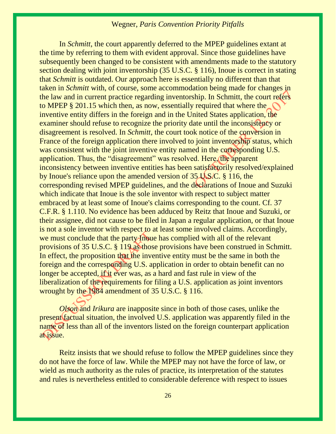In *Schmitt*, the court apparently deferred to the MPEP guidelines extant at the time by referring to them with evident approval. Since those guidelines have subsequently been changed to be consistent with amendments made to the statutory section dealing with joint inventorship [\(35 U.S.C. § 116\)](https://1.next.westlaw.com/Link/Document/FullText?findType=L&pubNum=1000546&cite=35USCAS116&originatingDoc=I6ea7fbe89c4911dba10be1078cee05f1&refType=LQ&originationContext=document&transitionType=DocumentItem&contextData=(sc.Search)), Inoue is correct in stating that *Schmitt* is outdated. Our approach here is essentially no different than that taken in *Schmitt* with, of course, some accommodation being made for changes in the law and in current practice regarding inventorship. In Schmitt, the court refers to [MPEP § 201.15](https://1.next.westlaw.com/Link/Document/FullText?findType=Y&pubNum=1015320&cite=MPEPs201.15&originatingDoc=I6ea7fbe89c4911dba10be1078cee05f1&refType=TS&originationContext=document&transitionType=DocumentItem&contextData=(sc.Search)) which then, as now, essentially required that where the inventive entity differs in the foreign and in the United States application, the examiner should refuse to recognize the priority date until the inconsistency or disagreement is resolved. In *Schmitt*, the court took notice of the conversion in France of the foreign application there involved to joint inventorship status, which was consistent with the joint inventive entity named in the corresponding U.S. application. Thus, the "disagreement" was resolved. Here, the apparent inconsistency between inventive entities has been satisfactorily resolved/explained by Inoue's reliance upon the amended version of [35 U.S.C. § 116,](https://1.next.westlaw.com/Link/Document/FullText?findType=L&pubNum=1000546&cite=35USCAS116&originatingDoc=I6ea7fbe89c4911dba10be1078cee05f1&refType=LQ&originationContext=document&transitionType=DocumentItem&contextData=(sc.Search)) the corresponding revised MPEP guidelines, and the declarations of Inoue and Suzuki which indicate that Inoue is the sole inventor with respect to subject matter embraced by at least some of Inoue's claims corresponding to the count. Cf. [37](https://1.next.westlaw.com/Link/Document/FullText?findType=L&pubNum=1000547&cite=37CFRS1.110&originatingDoc=I6ea7fbe89c4911dba10be1078cee05f1&refType=LQ&originationContext=document&transitionType=DocumentItem&contextData=(sc.Search))  [C.F.R. § 1.110.](https://1.next.westlaw.com/Link/Document/FullText?findType=L&pubNum=1000547&cite=37CFRS1.110&originatingDoc=I6ea7fbe89c4911dba10be1078cee05f1&refType=LQ&originationContext=document&transitionType=DocumentItem&contextData=(sc.Search)) No evidence has been adduced by Reitz that Inoue and Suzuki, or their assignee, did not cause to be filed in Japan a regular application, or that Inoue is not a sole inventor with respect to at least some involved claims. Accordingly, we must conclude that the party Inoue has complied with all of the relevant provisions of [35 U.S.C. § 119](https://1.next.westlaw.com/Link/Document/FullText?findType=L&pubNum=1000546&cite=35USCAS119&originatingDoc=I6ea7fbe89c4911dba10be1078cee05f1&refType=LQ&originationContext=document&transitionType=DocumentItem&contextData=(sc.Search)) as those provisions have been construed in Schmitt. In effect, the proposition that the inventive entity must be the same in both the foreign and the corresponding U.S. application in order to obtain benefit can no longer be accepted, if it ever was, as a hard and fast rule in view of the liberalization of the requirements for filing a U.S. application as joint inventors wrought by the 1984 amendment of [35 U.S.C. § 116.](https://1.next.westlaw.com/Link/Document/FullText?findType=L&pubNum=1000546&cite=35USCAS116&originatingDoc=I6ea7fbe89c4911dba10be1078cee05f1&refType=LQ&originationContext=document&transitionType=DocumentItem&contextData=(sc.Search))

*Olson* and *Irikura* are inapposite since in both of those cases, unlike the present factual situation, the involved U.S. application was apparently filed in the name of less than all of the inventors listed on the foreign counterpart application at issue.

Reitz insists that we should refuse to follow the MPEP guidelines since they do not have the force of law. While the MPEP may not have the force of law, or wield as much authority as the rules of practice, its interpretation of the statutes and rules is nevertheless entitled to considerable deference with respect to issues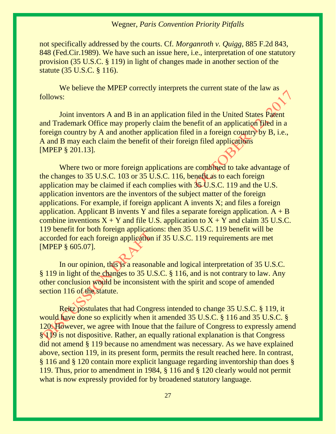not specifically addressed by the courts. Cf. *[Morganroth v. Quigg,](https://1.next.westlaw.com/Link/Document/FullText?findType=Y&serNum=1989128784&pubNum=0000350&originatingDoc=I6ea7fbe89c4911dba10be1078cee05f1&refType=RP&fi=co_pp_sp_350_848&originationContext=document&transitionType=DocumentItem&contextData=(sc.Search)#co_pp_sp_350_848)* 885 F.2d 843, [848 \(Fed.Cir.1989\).](https://1.next.westlaw.com/Link/Document/FullText?findType=Y&serNum=1989128784&pubNum=0000350&originatingDoc=I6ea7fbe89c4911dba10be1078cee05f1&refType=RP&fi=co_pp_sp_350_848&originationContext=document&transitionType=DocumentItem&contextData=(sc.Search)#co_pp_sp_350_848) We have such an issue here, i.e., interpretation of one statutory provision [\(35 U.S.C. § 119\)](https://1.next.westlaw.com/Link/Document/FullText?findType=L&pubNum=1000546&cite=35USCAS119&originatingDoc=I6ea7fbe89c4911dba10be1078cee05f1&refType=LQ&originationContext=document&transitionType=DocumentItem&contextData=(sc.Search)) in light of changes made in another section of the statute [\(35 U.S.C. § 116\)](https://1.next.westlaw.com/Link/Document/FullText?findType=L&pubNum=1000546&cite=35USCAS116&originatingDoc=I6ea7fbe89c4911dba10be1078cee05f1&refType=LQ&originationContext=document&transitionType=DocumentItem&contextData=(sc.Search)).

We believe the MPEP correctly interprets the current state of the law as follows:

Joint inventors A and B in an application filed in the United States Patent and Trademark Office may properly claim the benefit of an application filed in a foreign country by A and another application filed in a foreign country by B, i.e., A and B may each claim the benefit of their foreign filed applications [MPEP § 201.13].

Where two or more foreign applications are combined to take advantage of the changes to [35 U.S.C. 103](https://1.next.westlaw.com/Link/Document/FullText?findType=L&pubNum=1000546&cite=35USCAS103&originatingDoc=I6ea7fbe89c4911dba10be1078cee05f1&refType=LQ&originationContext=document&transitionType=DocumentItem&contextData=(sc.Search)) or [35 U.S.C. 116,](https://1.next.westlaw.com/Link/Document/FullText?findType=L&pubNum=1000546&cite=35USCAS116&originatingDoc=I6ea7fbe89c4911dba10be1078cee05f1&refType=LQ&originationContext=document&transitionType=DocumentItem&contextData=(sc.Search)) benefit as to each foreign application may be claimed if each complies with [35 U.S.C. 119](https://1.next.westlaw.com/Link/Document/FullText?findType=L&pubNum=1000546&cite=35USCAS119&originatingDoc=I6ea7fbe89c4911dba10be1078cee05f1&refType=LQ&originationContext=document&transitionType=DocumentItem&contextData=(sc.Search)) and the U.S. application inventors are the inventors of the subject matter of the foreign applications. For example, if foreign applicant A invents X; and files a foreign application. Applicant B invents Y and files a separate foreign application.  $A + B$ combine inventions  $X + Y$  and file U.S. application to  $X + Y$  and claim 35 U.S.C. [119](https://1.next.westlaw.com/Link/Document/FullText?findType=L&pubNum=1000546&cite=35USCAS119&originatingDoc=I6ea7fbe89c4911dba10be1078cee05f1&refType=LQ&originationContext=document&transitionType=DocumentItem&contextData=(sc.Search)) benefit for both foreign applications: then [35 U.S.C. 119](https://1.next.westlaw.com/Link/Document/FullText?findType=L&pubNum=1000546&cite=35USCAS119&originatingDoc=I6ea7fbe89c4911dba10be1078cee05f1&refType=LQ&originationContext=document&transitionType=DocumentItem&contextData=(sc.Search)) benefit will be accorded for each foreign application if [35 U.S.C. 119](https://1.next.westlaw.com/Link/Document/FullText?findType=L&pubNum=1000546&cite=35USCAS119&originatingDoc=I6ea7fbe89c4911dba10be1078cee05f1&refType=LQ&originationContext=document&transitionType=DocumentItem&contextData=(sc.Search)) requirements are met [\[MPEP § 605.07\]](https://1.next.westlaw.com/Link/Document/FullText?findType=Y&pubNum=1015320&cite=MPEPs605.07&originatingDoc=I6ea7fbe89c4911dba10be1078cee05f1&refType=TS&originationContext=document&transitionType=DocumentItem&contextData=(sc.Search)).

In our opinion, this is a reasonable and logical interpretation of [35 U.S.C.](https://1.next.westlaw.com/Link/Document/FullText?findType=L&pubNum=1000546&cite=35USCAS119&originatingDoc=I6ea7fbe89c4911dba10be1078cee05f1&refType=LQ&originationContext=document&transitionType=DocumentItem&contextData=(sc.Search))  § [119](https://1.next.westlaw.com/Link/Document/FullText?findType=L&pubNum=1000546&cite=35USCAS119&originatingDoc=I6ea7fbe89c4911dba10be1078cee05f1&refType=LQ&originationContext=document&transitionType=DocumentItem&contextData=(sc.Search)) in light of the changes to [35 U.S.C. § 116,](https://1.next.westlaw.com/Link/Document/FullText?findType=L&pubNum=1000546&cite=35USCAS116&originatingDoc=I6ea7fbe89c4911dba10be1078cee05f1&refType=LQ&originationContext=document&transitionType=DocumentItem&contextData=(sc.Search)) and is not contrary to law. Any other conclusion would be inconsistent with the spirit and scope of amended [section 116](https://1.next.westlaw.com/Link/Document/FullText?findType=L&pubNum=1000546&cite=35USCAS116&originatingDoc=I6ea7fbe89c4911dba10be1078cee05f1&refType=LQ&originationContext=document&transitionType=DocumentItem&contextData=(sc.Search)) of the statute.

Reitz postulates that had Congress intended to change [35 U.S.C. § 119,](https://1.next.westlaw.com/Link/Document/FullText?findType=L&pubNum=1000546&cite=35USCAS119&originatingDoc=I6ea7fbe89c4911dba10be1078cee05f1&refType=LQ&originationContext=document&transitionType=DocumentItem&contextData=(sc.Search)) it would have done so explicitly when it amended [35 U.S.C. § 116](https://1.next.westlaw.com/Link/Document/FullText?findType=L&pubNum=1000546&cite=35USCAS116&originatingDoc=I6ea7fbe89c4911dba10be1078cee05f1&refType=LQ&originationContext=document&transitionType=DocumentItem&contextData=(sc.Search)) and [35 U.S.C. §](https://1.next.westlaw.com/Link/Document/FullText?findType=L&pubNum=1000546&cite=35USCAS120&originatingDoc=I6ea7fbe89c4911dba10be1078cee05f1&refType=LQ&originationContext=document&transitionType=DocumentItem&contextData=(sc.Search))  [120.](https://1.next.westlaw.com/Link/Document/FullText?findType=L&pubNum=1000546&cite=35USCAS120&originatingDoc=I6ea7fbe89c4911dba10be1078cee05f1&refType=LQ&originationContext=document&transitionType=DocumentItem&contextData=(sc.Search)) However, we agree with Inoue that the failure of Congress to expressly amend [§ 119](https://1.next.westlaw.com/Link/Document/FullText?findType=L&pubNum=1000546&cite=35USCAS119&originatingDoc=I6ea7fbe89c4911dba10be1078cee05f1&refType=LQ&originationContext=document&transitionType=DocumentItem&contextData=(sc.Search)) is not dispositive. Rather, an equally rational explanation is that Congress did not amend [§ 119](https://1.next.westlaw.com/Link/Document/FullText?findType=L&pubNum=1000546&cite=35USCAS119&originatingDoc=I6ea7fbe89c4911dba10be1078cee05f1&refType=LQ&originationContext=document&transitionType=DocumentItem&contextData=(sc.Search)) because no amendment was necessary. As we have explained above, [section 119,](https://1.next.westlaw.com/Link/Document/FullText?findType=L&pubNum=1000546&cite=35USCAS119&originatingDoc=I6ea7fbe89c4911dba10be1078cee05f1&refType=LQ&originationContext=document&transitionType=DocumentItem&contextData=(sc.Search)) in its present form, permits the result reached here. In contrast, [§ 116](https://1.next.westlaw.com/Link/Document/FullText?findType=L&pubNum=1000546&cite=35USCAS116&originatingDoc=I6ea7fbe89c4911dba10be1078cee05f1&refType=LQ&originationContext=document&transitionType=DocumentItem&contextData=(sc.Search)) and [§ 120](https://1.next.westlaw.com/Link/Document/FullText?findType=L&pubNum=1000546&cite=35USCAS120&originatingDoc=I6ea7fbe89c4911dba10be1078cee05f1&refType=LQ&originationContext=document&transitionType=DocumentItem&contextData=(sc.Search)) contain more explicit language regarding inventorship than does [§](https://1.next.westlaw.com/Link/Document/FullText?findType=L&pubNum=1000546&cite=35USCAS119&originatingDoc=I6ea7fbe89c4911dba10be1078cee05f1&refType=LQ&originationContext=document&transitionType=DocumentItem&contextData=(sc.Search))  [119.](https://1.next.westlaw.com/Link/Document/FullText?findType=L&pubNum=1000546&cite=35USCAS119&originatingDoc=I6ea7fbe89c4911dba10be1078cee05f1&refType=LQ&originationContext=document&transitionType=DocumentItem&contextData=(sc.Search)) Thus, prior to amendment in 1984, [§ 116](https://1.next.westlaw.com/Link/Document/FullText?findType=L&pubNum=1000546&cite=35USCAS116&originatingDoc=I6ea7fbe89c4911dba10be1078cee05f1&refType=LQ&originationContext=document&transitionType=DocumentItem&contextData=(sc.Search)) and [§ 120](https://1.next.westlaw.com/Link/Document/FullText?findType=L&pubNum=1000546&cite=35USCAS120&originatingDoc=I6ea7fbe89c4911dba10be1078cee05f1&refType=LQ&originationContext=document&transitionType=DocumentItem&contextData=(sc.Search)) clearly would not permit what is now expressly provided for by broadened statutory language.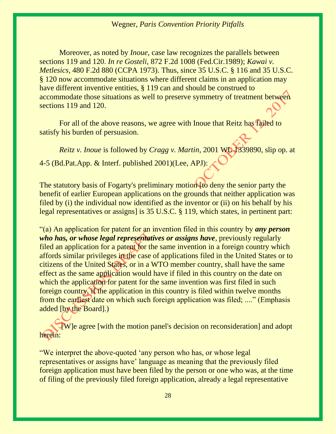Moreover, as noted by *Inoue*, case law recognizes the parallels between [sections 119](https://1.next.westlaw.com/Link/Document/FullText?findType=L&pubNum=1000546&cite=35USCAS119&originatingDoc=I6ea7fbe89c4911dba10be1078cee05f1&refType=LQ&originationContext=document&transitionType=DocumentItem&contextData=(sc.Search)) and [120.](https://1.next.westlaw.com/Link/Document/FullText?findType=L&pubNum=1000546&cite=35USCAS120&originatingDoc=I6ea7fbe89c4911dba10be1078cee05f1&refType=LQ&originationContext=document&transitionType=DocumentItem&contextData=(sc.Search)) *In re Gosteli,* [872 F.2d 1008 \(Fed.Cir.1989\);](https://1.next.westlaw.com/Link/Document/FullText?findType=Y&serNum=1989059621&pubNum=0000350&originatingDoc=I6ea7fbe89c4911dba10be1078cee05f1&refType=RP&originationContext=document&transitionType=DocumentItem&contextData=(sc.Search)) *[Kawai v.](https://1.next.westlaw.com/Link/Document/FullText?findType=Y&serNum=1973110513&pubNum=0000350&originatingDoc=I6ea7fbe89c4911dba10be1078cee05f1&refType=RP&originationContext=document&transitionType=DocumentItem&contextData=(sc.Search))  Metlesics,* [480 F.2d 880 \(CCPA 1973\).](https://1.next.westlaw.com/Link/Document/FullText?findType=Y&serNum=1973110513&pubNum=0000350&originatingDoc=I6ea7fbe89c4911dba10be1078cee05f1&refType=RP&originationContext=document&transitionType=DocumentItem&contextData=(sc.Search)) Thus, since [35 U.S.C. § 116](https://1.next.westlaw.com/Link/Document/FullText?findType=L&pubNum=1000546&cite=35USCAS116&originatingDoc=I6ea7fbe89c4911dba10be1078cee05f1&refType=LQ&originationContext=document&transitionType=DocumentItem&contextData=(sc.Search)) and [35 U.S.C.](https://1.next.westlaw.com/Link/Document/FullText?findType=L&pubNum=1000546&cite=35USCAS120&originatingDoc=I6ea7fbe89c4911dba10be1078cee05f1&refType=LQ&originationContext=document&transitionType=DocumentItem&contextData=(sc.Search))  [§ 120](https://1.next.westlaw.com/Link/Document/FullText?findType=L&pubNum=1000546&cite=35USCAS120&originatingDoc=I6ea7fbe89c4911dba10be1078cee05f1&refType=LQ&originationContext=document&transitionType=DocumentItem&contextData=(sc.Search)) now accommodate situations where different claims in an application may have different inventive entities, [§ 119](https://1.next.westlaw.com/Link/Document/FullText?findType=L&pubNum=1000546&cite=35USCAS119&originatingDoc=I6ea7fbe89c4911dba10be1078cee05f1&refType=LQ&originationContext=document&transitionType=DocumentItem&contextData=(sc.Search)) can and should be construed to accommodate those situations as well to preserve symmetry of treatment between [sections 119](https://1.next.westlaw.com/Link/Document/FullText?findType=L&pubNum=1000546&cite=35USCAS119&originatingDoc=I6ea7fbe89c4911dba10be1078cee05f1&refType=LQ&originationContext=document&transitionType=DocumentItem&contextData=(sc.Search)) and [120.](https://1.next.westlaw.com/Link/Document/FullText?findType=L&pubNum=1000546&cite=35USCAS120&originatingDoc=I6ea7fbe89c4911dba10be1078cee05f1&refType=LQ&originationContext=document&transitionType=DocumentItem&contextData=(sc.Search))

For all of the above reasons, we agree with Inoue that Reitz has failed to satisfy his burden of persuasion.

*Reitz v. Inoue* is followed by *Cragg v. Martin,* 2001 WL 1339890, slip op. at 4-5 (Bd.Pat.App. & Interf. published 2001)(Lee, APJ):

The statutory basis of Fogarty's preliminary motion [to deny the senior party the benefit of earlier European applications on the grounds that neither application was filed by (i) the individual now identified as the inventor or (ii) on his behalf by his legal representatives or assigns] is 35 U.S.C. § 119, which states, in pertinent part:

"(a) An application for patent for an invention filed in this country by *any person who has, or whose legal representatives or assigns have,* previously regularly filed an application for a patent for the same invention in a foreign country which affords similar privileges in the case of applications filed in the United States or to citizens of the United States, or in a WTO member country, shall have the same effect as the same application would have if filed in this country on the date on which the application for patent for the same invention was first filed in such foreign country, if the application in this country is filed within twelve months from the earliest date on which such foreign application was filed; ...." (Emphasis added [by the Board].)

[W]e agree [with the motion panel's decision on reconsideration] and adopt herein:

"We interpret the above-quoted 'any person who has, or whose legal representatives or assigns have' language as meaning that the previously filed foreign application must have been filed by the person or one who was, at the time of filing of the previously filed foreign application, already a legal representative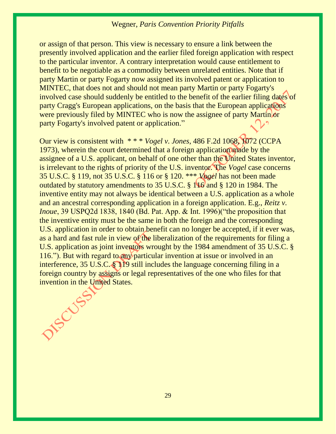or assign of that person. This view is necessary to ensure a link between the presently involved application and the earlier filed foreign application with respect to the particular inventor. A contrary interpretation would cause entitlement to benefit to be negotiable as a commodity between unrelated entities. Note that if party Martin or party Fogarty now assigned its involved patent or application to MINTEC, that does not and should not mean party Martin or party Fogarty's involved case should suddenly be entitled to the benefit of the earlier filing dates of party Cragg's European applications, on the basis that the European applications were previously filed by MINTEC who is now the assignee of party Martin or party Fogarty's involved patent or application."

Our view is consistent with \* \* \* *Vogel v. Jones*, 486 F.2d 1068, 1072 (CCPA 1973), wherein the court determined that a foreign application made by the assignee of a U.S. applicant, on behalf of one other than the United States inventor, is irrelevant to the rights of priority of the U.S. inventor. The *Vogel* case concerns [35 U.S.C. § 119,](https://1.next.westlaw.com/Link/Document/FullText?findType=L&pubNum=1000546&cite=35USCAS119&originatingDoc=I0dca817c9c5511db9127cf4cfcf88547&refType=LQ&originationContext=document&transitionType=DocumentItem&contextData=(sc.Search)) not [35 U.S.C. § 116](https://1.next.westlaw.com/Link/Document/FullText?findType=L&pubNum=1000546&cite=35USCAS116&originatingDoc=I0dca817c9c5511db9127cf4cfcf88547&refType=LQ&originationContext=document&transitionType=DocumentItem&contextData=(sc.Search)) or [§ 120.](https://1.next.westlaw.com/Link/Document/FullText?findType=L&pubNum=1000546&cite=35USCAS120&originatingDoc=I0dca817c9c5511db9127cf4cfcf88547&refType=LQ&originationContext=document&transitionType=DocumentItem&contextData=(sc.Search)) \*\*\* *Vogel* has not been made outdated by statutory amendments to [35 U.S.C. § 116](https://1.next.westlaw.com/Link/Document/FullText?findType=L&pubNum=1000546&cite=35USCAS116&originatingDoc=I0dca817c9c5511db9127cf4cfcf88547&refType=LQ&originationContext=document&transitionType=DocumentItem&contextData=(sc.Search)) and [§ 120](https://1.next.westlaw.com/Link/Document/FullText?findType=L&pubNum=1000546&cite=35USCAS120&originatingDoc=I0dca817c9c5511db9127cf4cfcf88547&refType=LQ&originationContext=document&transitionType=DocumentItem&contextData=(sc.Search)) in 1984. The inventive entity may not always be identical between a U.S. application as a whole and an ancestral corresponding application in a foreign application. E.g., *Reitz v. Inoue*, 39 USPQ2d 1838, 1840 (Bd. Pat. App. & Int. 1996) ("the proposition that the inventive entity must be the same in both the foreign and the corresponding U.S. application in order to obtain benefit can no longer be accepted, if it ever was, as a hard and fast rule in view of the liberalization of the requirements for filing a U.S. application as joint inventors wrought by the 1984 amendment of [35 U.S.C. §](https://1.next.westlaw.com/Link/Document/FullText?findType=L&pubNum=1000546&cite=35USCAS116&originatingDoc=I0dca817c9c5511db9127cf4cfcf88547&refType=LQ&originationContext=document&transitionType=DocumentItem&contextData=(sc.Search))  [116](https://1.next.westlaw.com/Link/Document/FullText?findType=L&pubNum=1000546&cite=35USCAS116&originatingDoc=I0dca817c9c5511db9127cf4cfcf88547&refType=LQ&originationContext=document&transitionType=DocumentItem&contextData=(sc.Search))."). But with regard to any particular invention at issue or involved in an interference, [35 U.S.C. § 119](https://1.next.westlaw.com/Link/Document/FullText?findType=L&pubNum=1000546&cite=35USCAS119&originatingDoc=I0dca817c9c5511db9127cf4cfcf88547&refType=LQ&originationContext=document&transitionType=DocumentItem&contextData=(sc.Search)) still includes the language concerning filing in a foreign country by assigns or legal representatives of the one who files for that invention in the United States.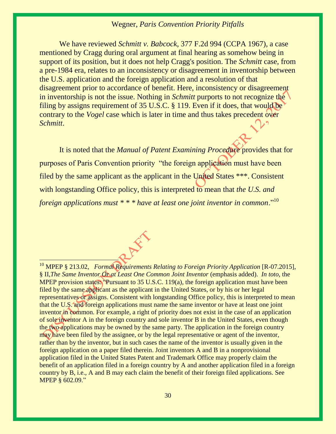We have reviewed *Schmitt v. Babcock*, 377 F.2d 994 (CCPA 1967), a case mentioned by Cragg during oral argument at final hearing as somehow being in support of its position, but it does not help Cragg's position. The *Schmitt* case, from a pre-1984 era, relates to an inconsistency or disagreement in inventorship between the U.S. application and the foreign application and a resolution of that disagreement prior to accordance of benefit. Here, inconsistency or disagreement in inventorship is not the issue. Nothing in *Schmitt* purports to not recognize the filing by assigns requirement of 35 U.S.C. § 119. Even if it does, that would be contrary to the *Vogel* case which is later in time and thus takes precedent over *Schmitt*.

It is noted that the *Manual of Patent Examining Procedure* provides that for purposes of Paris Convention priority "the foreign application must have been filed by the same applicant as the applicant in the United States \*\*\*. Consistent with longstanding Office policy, this is interpreted to mean that *the U.S. and foreign applications must* \* \* \* *have at least one joint inventor in common.*"<sup>10</sup>

<sup>10</sup> MPEP § 213.02, *Formal Requirements Relating to Foreign Priority Application* [R-07.2015], § II,*The Same Inventor Or at Least One Common Joint Inventor* (emphasis added). *In toto*, the MPEP provision states: "Pursuant to 35 U.S.C. 119(a), the foreign application must have been filed by the same applicant as the applicant in the United States, or by his or her legal representatives or assigns. Consistent with longstanding Office policy, this is interpreted to mean that the U.S. and foreign applications must name the same inventor or have at least one joint inventor in common. For example, a right of priority does not exist in the case of an application of sole inventor A in the foreign country and sole inventor B in the United States, even though the two applications may be owned by the same party. The application in the foreign country may have been filed by the assignee, or by the legal representative or agent of the inventor, rather than by the inventor, but in such cases the name of the inventor is usually given in the foreign application on a paper filed therein. Joint inventors A and B in a nonprovisional application filed in the United States Patent and Trademark Office may properly claim the benefit of an application filed in a foreign country by A and another application filed in a foreign country by B, i.e., A and B may each claim the benefit of their foreign filed applications. See [MPEP § 602.09](https://www.uspto.gov/web/offices/pac/mpep/s602.html#ch600_d1ff6a_1ba4a_ff)."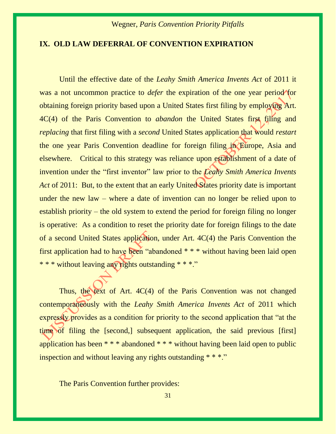#### **IX. OLD LAW DEFERRAL OF CONVENTION EXPIRATION**

Until the effective date of the *Leahy Smith America Invents Act* of 2011 it was a not uncommon practice to *defer* the expiration of the one year period for obtaining foreign priority based upon a United States first filing by employing Art. 4C(4) of the Paris Convention to *abandon* the United States first filing and *replacing* that first filing with a *second* United States application that would *restart*  the one year Paris Convention deadline for foreign filing in Europe, Asia and elsewhere. Critical to this strategy was reliance upon establishment of a date of invention under the "first inventor" law prior to the *Leahy Smith America Invents Act* of 2011: But, to the extent that an early United States priority date is important under the new law – where a date of invention can no longer be relied upon to establish priority – the old system to extend the period for foreign filing no longer is operative: As a condition to reset the priority date for foreign filings to the date of a second United States application, under Art. 4C(4) the Paris Convention the first application had to have been "abandoned \* \* \* without having been laid open \* \* \* without leaving any rights outstanding \* \* \*."

Thus, the text of Art. 4C(4) of the Paris Convention was not changed contemporaneously with the *Leahy Smith America Invents Act* of 2011 which expressly provides as a condition for priority to the second application that "at the time of filing the [second,] subsequent application, the said previous [first] application has been \* \* \* abandoned \* \* \* without having been laid open to public inspection and without leaving any rights outstanding  $* * *$ ."

The Paris Convention further provides: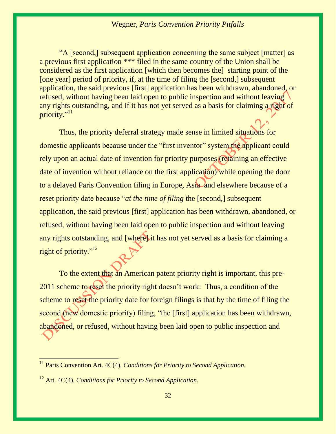"A [second,] subsequent application concerning the same subject [matter] as a previous first application \*\*\* filed in the same country of the Union shall be considered as the first application [which then becomes the] starting point of the [one year] period of priority, if, at the time of filing the [second,] subsequent application, the said previous [first] application has been withdrawn, abandoned, or refused, without having been laid open to public inspection and without leaving any rights outstanding, and if it has not yet served as a basis for claiming a right of priority."<sup>11</sup>

Thus, the priority deferral strategy made sense in limited situations for domestic applicants because under the "first inventor" system the applicant could rely upon an actual date of invention for priority purposes (retaining an effective date of invention without reliance on the first application) while opening the door to a delayed Paris Convention filing in Europe, Asia and elsewhere because of a reset priority date because "*at the time of filing* the [second,] subsequent application, the said previous [first] application has been withdrawn, abandoned, or refused, without having been laid open to public inspection and without leaving any rights outstanding, and [where] it has not yet served as a basis for claiming a right of priority."<sup>12</sup>

To the extent that an American patent priority right is important, this pre-2011 scheme to reset the priority right doesn't work: Thus, a condition of the scheme to reset the priority date for foreign filings is that by the time of filing the second (new domestic priority) filing, "the [first] application has been withdrawn, abandoned, or refused, without having been laid open to public inspection and

<sup>&</sup>lt;sup>11</sup> Paris Convention Art. 4C(4), *Conditions for Priority to Second Application*.

<sup>12</sup> Art. 4C(4), *Conditions for Priority to Second Application.*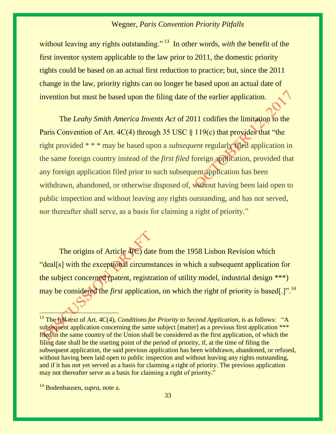without leaving any rights outstanding."<sup>13</sup> In other words, *with* the benefit of the first inventor system applicable to the law prior to 2011, the domestic priority rights could be based on an actual first reduction to practice; but, since the 2011 change in the law, priority rights can no longer be based upon an actual date of invention but must be based upon the filing date of the earlier application.

The *Leahy Smith America Invents Act* of 2011 codifies the limitation to the Paris Convention of Art. 4C(4) through 35 USC § 119(c) that provides that "the right provided \* \* \* may be based upon a *subsequent* regularly filed application in the same foreign country instead of the *first filed* foreign application, provided that any foreign application filed prior to such subsequent application has been withdrawn, abandoned, or otherwise disposed of, without having been laid open to public inspection and without leaving any rights outstanding, and has not served, nor thereafter shall serve, as a basis for claiming a right of priority."

The origins of Article  $4(\mathbb{C})$  date from the 1958 Lisbon Revision which "deal[s] with the exceptional circumstances in which a subsequent application for the subject concerned (patent, registration of utility model, industrial design \*\*\*) may be considered the *first* application, on which the right of priority is based[.]".<sup>14</sup>

 $\overline{a}$ 

<sup>&</sup>lt;sup>13</sup> The full text of Art. 4C(4), *Conditions for Priority to Second Application*, is as follows: "A subsequent application concerning the same subject [matter] as a previous first application \*\*\* filed in the same country of the Union shall be considered as the first application, of which the filing date shall be the starting point of the period of priority, if, at the time of filing the subsequent application, the said previous application has been withdrawn, abandoned, or refused, without having been laid open to public inspection and without leaving any rights outstanding, and if it has not yet served as a basis for claiming a right of priority. The previous application may not thereafter serve as a basis for claiming a right of priority."

<sup>14</sup> Bodenhausen, *supra,* note a.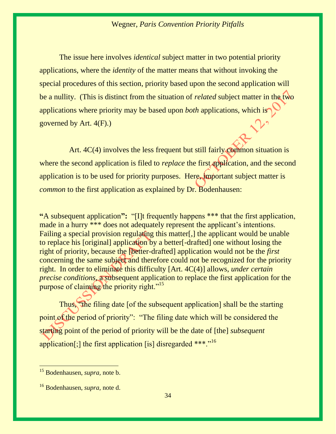The issue here involves *identical* subject matter in two potential priority applications, where the *identity* of the matter means that without invoking the special procedures of this section, priority based upon the second application will be a nullity. (This is distinct from the situation of *related* subject matter in the two applications where priority may be based upon *both* applications, which is governed by Art. 4(F).)

Art. 4C(4) involves the less frequent but still fairly common situation is where the second application is filed to *replace* the first application, and the second application is to be used for priority purposes. Here, important subject matter is *common* to the first application as explained by Dr. Bodenhausen:

**"**A subsequent application**":** "[I]t frequently happens \*\*\* that the first application, made in a hurry \*\*\* does not adequately represent the applicant's intentions. Failing a special provision regulating this matter[,] the applicant would be unable to replace his [original] application by a better[-drafted] one without losing the right of priority, because the [better-drafted] application would not be the *first* concerning the same subject and therefore could not be recognized for the priority right. In order to eliminate this difficulty [Art. 4C(4)] allows, *under certain precise conditions,* a subsequent application to replace the first application for the purpose of claiming the priority right."<sup>15</sup>

Thus, "the filing date [of the subsequent application] shall be the starting point of the period of priority": "The filing date which will be considered the starting point of the period of priority will be the date of [the] *subsequent* application[;] the first application [is] disregarded \*\*\*."<sup>16</sup>

<sup>15</sup> Bodenhausen, *supra,* note b.

<sup>16</sup> Bodenhausen, *supra,* note d.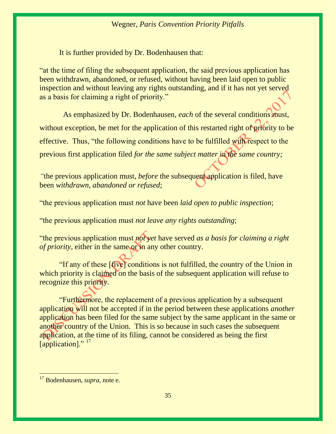It is further provided by Dr. Bodenhausen that:

"at the time of filing the subsequent application, the said previous application has been withdrawn, abandoned, or refused, without having been laid open to public inspection and without leaving any rights outstanding, and if it has not yet served as a basis for claiming a right of priority."

 As emphasized by Dr. Bodenhausen, *each* of the several conditions must, without exception, be met for the application of this restarted right of priority to be effective. Thus, "the following conditions have to be fulfilled with respect to the previous first application filed *for the same subject matter* in *the same country;*

*"*the previous application must, *before* the subsequent application is filed, have been *withdrawn, abandoned or refused*;

"the previous application must *not* have been *laid open to public inspection*;

"the previous application must *not leave any rights outstanding*;

"the previous application must *not yet* have served *as a basis for claiming a right of priority*, either in the same or in any other country.

"If any of these [five] conditions is not fulfilled, the country of the Union in which priority is claimed on the basis of the subsequent application will refuse to recognize this priority.

"Furthermore, the replacement of a previous application by a subsequent application will not be accepted if in the period between these applications *another* application has been filed for the same subject by the same applicant in the same or another country of the Union. This is so because in such cases the subsequent application, at the time of its filing, cannot be considered as being the first [application]."<sup>17</sup>

<sup>17</sup> Bodenhausen, *supra,* note e.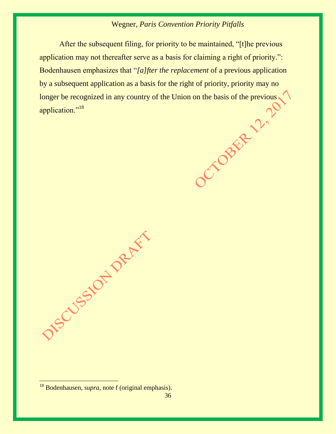After the subsequent filing, for priority to be maintained, "[t]he previous application may not thereafter serve as a basis for claiming a right of priority.": Bodenhausen emphasizes that "*[a]fter the replacement* of a previous application by a subsequent application as a basis for the right of priority, priority may no longer be recognized in any country of the Union on the basis of the previous application."<sup>18</sup> longer be recognized in any country of the Union on the basis of the previous application."<sup>18</sup>

DIS CUSSION DRUGS

<sup>18</sup> Bodenhausen, *supra,* note f (original emphasis).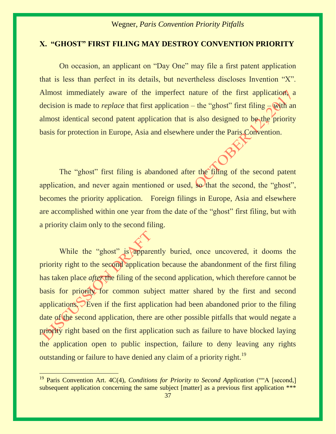## **X. "GHOST" FIRST FILING MAY DESTROY CONVENTION PRIORITY**

On occasion, an applicant on "Day One" may file a first patent application that is less than perfect in its details, but nevertheless discloses Invention "X". Almost immediately aware of the imperfect nature of the first application, a decision is made to *replace* that first application – the "ghost" first filing – with an almost identical second patent application that is also designed to be the priority basis for protection in Europe, Asia and elsewhere under the Paris Convention.

The "ghost" first filing is abandoned after the filing of the second patent application, and never again mentioned or used, so that the second, the "ghost", becomes the priority application. Foreign filings in Europe, Asia and elsewhere are accomplished within one year from the date of the "ghost" first filing, but with a priority claim only to the second filing.

While the "ghost" is apparently buried, once uncovered, it dooms the priority right to the second application because the abandonment of the first filing has taken place *after* the filing of the second application, which therefore cannot be basis for priority for common subject matter shared by the first and second applications. Even if the first application had been abandoned prior to the filing date of the second application, there are other possible pitfalls that would negate a priority right based on the first application such as failure to have blocked laying the application open to public inspection, failure to deny leaving any rights outstanding or failure to have denied any claim of a priority right.<sup>19</sup>

<sup>&</sup>lt;sup>19</sup> Paris Convention Art. 4C(4), *Conditions for Priority to Second Application* (""A [second,] subsequent application concerning the same subject [matter] as a previous first application \*\*\*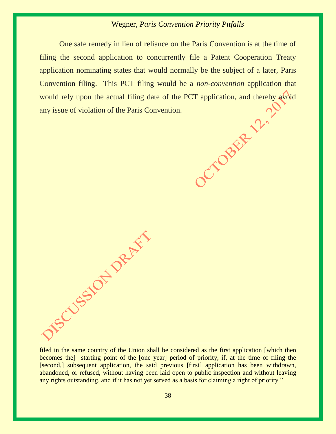One safe remedy in lieu of reliance on the Paris Convention is at the time of filing the second application to concurrently file a Patent Cooperation Treaty application nominating states that would normally be the subject of a later, Paris Convention filing. This PCT filing would be a *non-convention* application that would rely upon the actual filing date of the PCT application, and thereby avoid<br>any issue of violation of the Paris Convention. any issue of violation of the Paris Convention.

filed in the same country of the Union shall be considered as the first application [which then becomes the starting point of the [one year] period of priority, if, at the time of filing the [second,] subsequent application, the said previous [first] application has been withdrawn, abandoned, or refused, without having been laid open to public inspection and without leaving any rights outstanding, and if it has not yet served as a basis for claiming a right of priority."

**150 SSSOF** DRAFT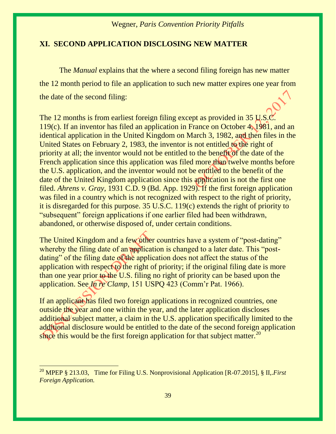#### **XI. SECOND APPLICATION DISCLOSING NEW MATTER**

The *Manual* explains that the where a second filing foreign has new matter the 12 month period to file an application to such new matter expires one year from the date of the second filing:

The 12 months is from earliest foreign filing except as provided in [35 U.S.C.](https://www.uspto.gov/web/offices/pac/mpep/mpep-9015-appx-l.html#d0e302943)  [119\(c\).](https://www.uspto.gov/web/offices/pac/mpep/mpep-9015-appx-l.html#d0e302943) If an inventor has filed an application in France on October 4, 1981, and an identical application in the United Kingdom on March 3, 1982, and then files in the United States on February 2, 1983, the inventor is not entitled to the right of priority at all; the inventor would not be entitled to the benefit of the date of the French application since this application was filed more than twelve months before the U.S. application, and the inventor would not be entitled to the benefit of the date of the United Kingdom application since this application is not the first one filed. *Ahrens v. Gray,* 1931 C.D. 9 (Bd. App. 1929). If the first foreign application was filed in a country which is not recognized with respect to the right of priority, it is disregarded for this purpose. [35 U.S.C. 119\(c\)](https://www.uspto.gov/web/offices/pac/mpep/mpep-9015-appx-l.html#d0e302943) extends the right of priority to "subsequent" foreign applications if one earlier filed had been withdrawn, abandoned, or otherwise disposed of, under certain conditions.

The United Kingdom and a few other countries have a system of "post-dating" whereby the filing date of an application is changed to a later date. This "postdating" of the filing date of the application does not affect the status of the application with respect to the right of priority; if the original filing date is more than one year prior to the U.S. filing no right of priority can be based upon the application. See *In re Clamp,* 151 USPQ 423 (Comm'r Pat. 1966).

If an applicant has filed two foreign applications in recognized countries, one outside the year and one within the year, and the later application discloses additional subject matter, a claim in the U.S. application specifically limited to the additional disclosure would be entitled to the date of the second foreign application since this would be the first foreign application for that subject matter.<sup>20</sup>

<sup>20</sup> MPEP § 213.03, Time for Filing U.S. Nonprovisional Application [R-07.2015], § II,.*First Foreign Application.*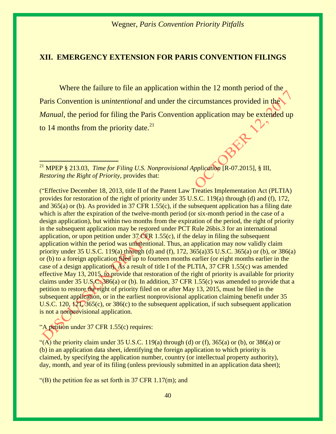#### **XII. EMERGENCY EXTENSION FOR PARIS CONVENTION FILINGS**

Where the failure to file an application within the 12 month period of the Paris Convention is *unintentional* and under the circumstances provided in the *Manual*, the period for filing the Paris Convention application may be extended up to  $14$  months from the priority date.<sup>21</sup>

<sup>21</sup> MPEP § 213.03, *Time for Filing U.S. Nonprovisional Application* [R-07.2015], § III, *Restoring the Right of Priority,* provides that:

("Effective December 18, 2013, title II of the Patent Law Treaties Implementation Act (PLTIA) provides for restoration of the right of priority under [35 U.S.C. 119\(a\)](https://www.uspto.gov/web/offices/pac/mpep/mpep-9015-appx-l.html#d0e302926) through [\(d\)](https://www.uspto.gov/web/offices/pac/mpep/mpep-9015-appx-l.html#d0e302947) and [\(f\),](https://www.uspto.gov/web/offices/pac/mpep/mpep-9015-appx-l.html#d0e302991) [172,](https://www.uspto.gov/web/offices/pac/mpep/mpep-9015-appx-l.html#d0e304490313) and [365\(a\)](https://www.uspto.gov/web/offices/pac/mpep/mpep-9015-appx-l.html#d0e307039) or [\(b\).](https://www.uspto.gov/web/offices/pac/mpep/mpep-9015-appx-l.html#d0e307046) As provided in [37 CFR 1.55\(c\),](https://www.uspto.gov/web/offices/pac/mpep/mpep-9020-appx-r.html#aia_d0e319333) if the subsequent application has a filing date which is after the expiration of the twelve-month period (or six-month period in the case of a design application), but within two months from the expiration of the period, the right of priority in the subsequent application may be restored under [PCT Rule 26bis.3](https://www.uspto.gov/web/offices/pac/mpep/mpep-9025-appx-t.html#d0e369822) for an international application, or upon petition under [37 CFR 1.55\(c\),](https://www.uspto.gov/web/offices/pac/mpep/mpep-9020-appx-r.html#aia_d0e319333) if the delay in filing the subsequent application within the period was unintentional. Thus, an application may now validly claim priority under [35 U.S.C. 119\(a\)](https://www.uspto.gov/web/offices/pac/mpep/mpep-9015-appx-l.html#d0e302926) through [\(d\)](https://www.uspto.gov/web/offices/pac/mpep/mpep-9015-appx-l.html#d0e302947) and [\(f\),](https://www.uspto.gov/web/offices/pac/mpep/mpep-9015-appx-l.html#d0e302991) [172,](https://www.uspto.gov/web/offices/pac/mpep/mpep-9015-appx-l.html#d0e304490313) 365(a[\)35 U.S.C. 365\(a\)](https://www.uspto.gov/web/offices/pac/mpep/mpep-9015-appx-l.html#d0e307039) or [\(b\),](https://www.uspto.gov/web/offices/pac/mpep/mpep-9015-appx-l.html#d0e307046) or [386\(a\)](https://www.uspto.gov/web/offices/pac/mpep/mpep-9015-appx-l.html#al_d225a2_29a27_324) or [\(b\)](https://www.uspto.gov/web/offices/pac/mpep/mpep-9015-appx-l.html#al_d225a2_29a74_1f8) to a foreign application filed up to fourteen months earlier (or eight months earlier in the case of a design application). As a result of title I of the PLTIA, [37 CFR 1.55\(c\)](https://www.uspto.gov/web/offices/pac/mpep/mpep-9020-appx-r.html#aia_d0e319333) was amended effective May 13, 2015, to provide that restoration of the right of priority is available for priority claims under [35 U.S.C. 386\(a\)](https://www.uspto.gov/web/offices/pac/mpep/mpep-9015-appx-l.html#al_d225a2_29a27_324) or [\(b\).](https://www.uspto.gov/web/offices/pac/mpep/mpep-9015-appx-l.html#al_d225a2_29a74_1f8) In addition, [37 CFR 1.55\(c\)](https://www.uspto.gov/web/offices/pac/mpep/mpep-9020-appx-r.html#aia_d0e319333) was amended to provide that a petition to restore the right of priority filed on or after May 13, 2015, must be filed in the subsequent application, or in the earliest nonprovisional application claiming benefit under 35 [U.S.C. 120,](https://www.uspto.gov/web/offices/pac/mpep/mpep-9015-appx-l.html#d0e303023313) [121,](https://www.uspto.gov/web/offices/pac/mpep/mpep-9015-appx-l.html#d0e303040912) [365\(c\),](https://www.uspto.gov/web/offices/pac/mpep/mpep-9015-appx-l.html#d0e307053) or [386\(c\)](https://www.uspto.gov/web/offices/pac/mpep/mpep-9015-appx-l.html#al_d225a2_29a9c_1b3) to the subsequent application, if such subsequent application is not a nonprovisional application.

"A petition under [37 CFR 1.55\(c\)](https://www.uspto.gov/web/offices/pac/mpep/mpep-9020-appx-r.html#aia_d0e319333) requires:

 $\overline{a}$ 

"(A) the priority claim under [35 U.S.C. 119\(a\)](https://www.uspto.gov/web/offices/pac/mpep/mpep-9015-appx-l.html#d0e302926) through [\(d\)](https://www.uspto.gov/web/offices/pac/mpep/mpep-9015-appx-l.html#d0e302947) or [\(f\),](https://www.uspto.gov/web/offices/pac/mpep/mpep-9015-appx-l.html#d0e302991) [365\(a\)](https://www.uspto.gov/web/offices/pac/mpep/mpep-9015-appx-l.html#d0e307039) or [\(b\),](https://www.uspto.gov/web/offices/pac/mpep/mpep-9015-appx-l.html#d0e307046) or [386\(a\)](https://www.uspto.gov/web/offices/pac/mpep/mpep-9015-appx-l.html#al_d225a2_29a27_324) or [\(b\)](https://www.uspto.gov/web/offices/pac/mpep/mpep-9015-appx-l.html#al_d225a2_29a74_1f8) in an application data sheet, identifying the foreign application to which priority is claimed, by specifying the application number, country (or intellectual property authority), day, month, and year of its filing (unless previously submitted in an application data sheet);

"(B) the petition fee as set forth in 37 CFR  $1.17$ (m); and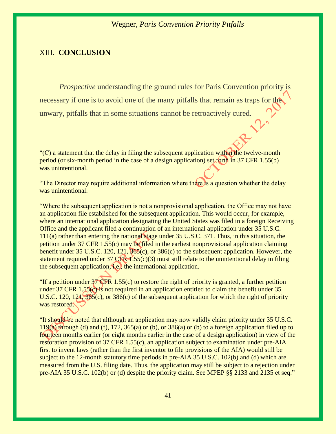#### XIII. **CONCLUSION**

*Prospective* understanding the ground rules for Paris Convention priority is necessary if one is to avoid one of the many pitfalls that remain as traps for the unwary, pitfalls that in some situations cannot be retroactively cured.

 $C$ ) a statement that the delay in filing the subsequent application within the twelve-month period (or six-month period in the case of a design application) set forth in [37 CFR 1.55\(b\)](https://www.uspto.gov/web/offices/pac/mpep/mpep-9020-appx-r.html#aia_d0e319326) was unintentional.

"The Director may require additional information where there is a question whether the delay was unintentional.

"Where the subsequent application is not a nonprovisional application, the Office may not have an application file established for the subsequent application. This would occur, for example, where an international application designating the United States was filed in a foreign Receiving Office and the applicant filed a continuation of an international application under [35 U.S.C.](https://www.uspto.gov/web/offices/pac/mpep/mpep-9015-appx-l.html#pltd0e302678aia)  [111\(a\)](https://www.uspto.gov/web/offices/pac/mpep/mpep-9015-appx-l.html#pltd0e302678aia) rather than entering the national stage under [35 U.S.C. 371.](https://www.uspto.gov/web/offices/pac/mpep/mpep-9015-appx-l.html#d0e307164) Thus, in this situation, the petition under [37 CFR 1.55\(c\)](https://www.uspto.gov/web/offices/pac/mpep/mpep-9020-appx-r.html#aia_d0e319333) may be filed in the earliest nonprovisional application claiming benefit under [35 U.S.C. 120,](https://www.uspto.gov/web/offices/pac/mpep/mpep-9015-appx-l.html#d0e303023313) [121,](https://www.uspto.gov/web/offices/pac/mpep/mpep-9015-appx-l.html#d0e303040912) [365\(c\),](https://www.uspto.gov/web/offices/pac/mpep/mpep-9015-appx-l.html#d0e307053) or [386\(c\)](https://www.uspto.gov/web/offices/pac/mpep/mpep-9015-appx-l.html#al_d225a2_29a9c_1b3) to the subsequent application. However, the statement required under 37 CFR  $\frac{1}{1}$ .55(c)(3) must still relate to the unintentional delay in filing the subsequent application, i.e., the international application.

"If a petition under  $37$  CFR 1.55(c) to restore the right of priority is granted, a further petition under [37 CFR 1.55\(c\)](https://www.uspto.gov/web/offices/pac/mpep/mpep-9020-appx-r.html#aia_d0e319333) is not required in an application entitled to claim the benefit under 35 [U.S.C. 120,](https://www.uspto.gov/web/offices/pac/mpep/mpep-9015-appx-l.html#d0e303023313) [121,](https://www.uspto.gov/web/offices/pac/mpep/mpep-9015-appx-l.html#d0e303040912) [365\(c\),](https://www.uspto.gov/web/offices/pac/mpep/mpep-9015-appx-l.html#d0e307053) or [386\(c\)](https://www.uspto.gov/web/offices/pac/mpep/mpep-9015-appx-l.html#al_d225a2_29a9c_1b3) of the subsequent application for which the right of priority was restored.

"It should be noted that although an application may now validly claim priority under [35 U.S.C.](https://www.uspto.gov/web/offices/pac/mpep/mpep-9015-appx-l.html#d0e302926)  [119\(a\)](https://www.uspto.gov/web/offices/pac/mpep/mpep-9015-appx-l.html#d0e302926) through [\(d\)](https://www.uspto.gov/web/offices/pac/mpep/mpep-9015-appx-l.html#d0e302947) and [\(f\),](https://www.uspto.gov/web/offices/pac/mpep/mpep-9015-appx-l.html#d0e302991) [172,](https://www.uspto.gov/web/offices/pac/mpep/mpep-9015-appx-l.html#d0e304490313) [365\(a\)](https://www.uspto.gov/web/offices/pac/mpep/mpep-9015-appx-l.html#d0e307039) or [\(b\),](https://www.uspto.gov/web/offices/pac/mpep/mpep-9015-appx-l.html#d0e307046) or [386\(a\)](https://www.uspto.gov/web/offices/pac/mpep/mpep-9015-appx-l.html#al_d225a2_29a27_324) or [\(b\)](https://www.uspto.gov/web/offices/pac/mpep/mpep-9015-appx-l.html#al_d225a2_29a74_1f8) to a foreign application filed up to fourteen months earlier (or eight months earlier in the case of a design application) in view of the restoration provision of [37 CFR 1.55\(c\),](https://www.uspto.gov/web/offices/pac/mpep/mpep-9020-appx-r.html#aia_d0e319333) an application subject to examination under pre-AIA first to invent laws (rather than the first inventor to file provisions of the AIA) would still be subject to the 12-month statutory time periods in [pre-AIA 35 U.S.C. 102\(b\)](https://www.uspto.gov/web/offices/pac/mpep/mpep-9015-appx-l.html#d0e302395) and [\(d\)](https://www.uspto.gov/web/offices/pac/mpep/mpep-9015-appx-l.html#d0e302403) which are measured from the U.S. filing date. Thus, the application may still be subject to a rejection under [pre-AIA 35 U.S.C. 102\(b\)](https://www.uspto.gov/web/offices/pac/mpep/mpep-9015-appx-l.html#d0e302395) or [\(d\)](https://www.uspto.gov/web/offices/pac/mpep/mpep-9015-appx-l.html#d0e302403) despite the priority claim. See [MPEP §§ 2133](https://www.uspto.gov/web/offices/pac/mpep/s2133.html#d0e203671) and [2135](https://www.uspto.gov/web/offices/pac/mpep/s2135.html#d0e205278) et seq."